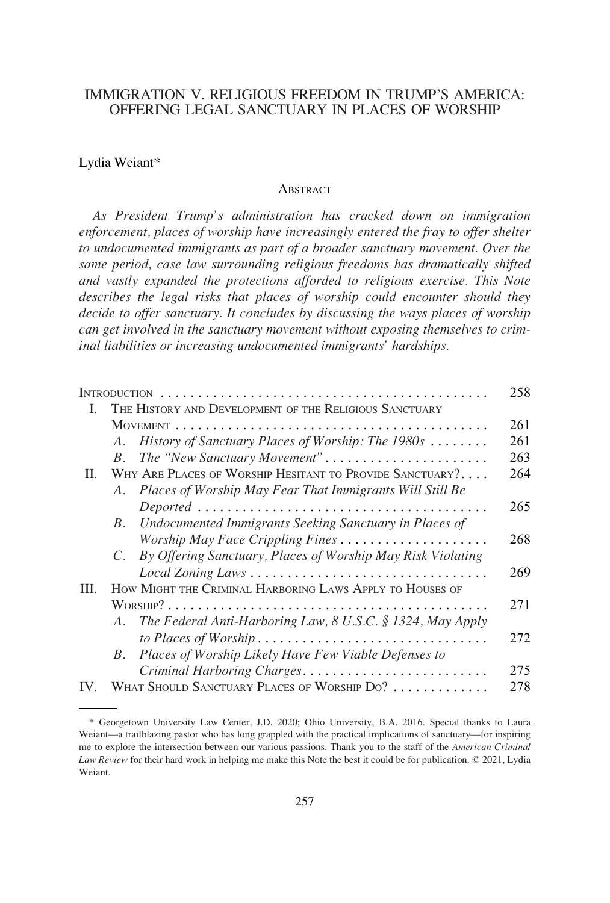# IMMIGRATION V. RELIGIOUS FREEDOM IN TRUMP'S AMERICA: OFFERING LEGAL SANCTUARY IN PLACES OF WORSHIP

#### Lydia Weiant\*

#### **ABSTRACT**

*As President Trump's administration has cracked down on immigration enforcement, places of worship have increasingly entered the fray to offer shelter to undocumented immigrants as part of a broader sanctuary movement. Over the same period, case law surrounding religious freedoms has dramatically shifted and vastly expanded the protections afforded to religious exercise. This Note*  describes the legal risks that places of worship could encounter should they *decide to offer sanctuary. It concludes by discussing the ways places of worship can get involved in the sanctuary movement without exposing themselves to criminal liabilities or increasing undocumented immigrants' hardships.* 

|          |                                                                            | 258 |
|----------|----------------------------------------------------------------------------|-----|
| L.       | THE HISTORY AND DEVELOPMENT OF THE RELIGIOUS SANCTUARY                     |     |
|          |                                                                            | 261 |
|          | History of Sanctuary Places of Worship: The 1980s<br>A.                    | 261 |
|          | The "New Sanctuary Movement"<br>$B_{\cdot}$                                | 263 |
| Ш.       | WHY ARE PLACES OF WORSHIP HESITANT TO PROVIDE SANCTUARY?                   | 264 |
|          | Places of Worship May Fear That Immigrants Will Still Be<br>A.             |     |
|          |                                                                            | 265 |
|          | Undocumented Immigrants Seeking Sanctuary in Places of<br>$B_{\cdot}$      |     |
|          |                                                                            | 268 |
|          | By Offering Sanctuary, Places of Worship May Risk Violating<br>$C_{\cdot}$ |     |
|          | Local Zoning Laws                                                          | 269 |
| III.     | HOW MIGHT THE CRIMINAL HARBORING LAWS APPLY TO HOUSES OF                   |     |
|          |                                                                            | 271 |
|          | The Federal Anti-Harboring Law, 8 U.S.C. § 1324, May Apply<br>A.           |     |
|          |                                                                            | 272 |
|          | Places of Worship Likely Have Few Viable Defenses to<br>$B_{\cdot}$        |     |
|          | Criminal Harboring Charges                                                 | 275 |
| $IV_{-}$ | WHAT SHOULD SANCTUARY PLACES OF WORSHIP DO?                                | 278 |

<sup>\*</sup> Georgetown University Law Center, J.D. 2020; Ohio University, B.A. 2016. Special thanks to Laura Weiant—a trailblazing pastor who has long grappled with the practical implications of sanctuary—for inspiring me to explore the intersection between our various passions. Thank you to the staff of the *American Criminal Law Review* for their hard work in helping me make this Note the best it could be for publication. © 2021, Lydia Weiant.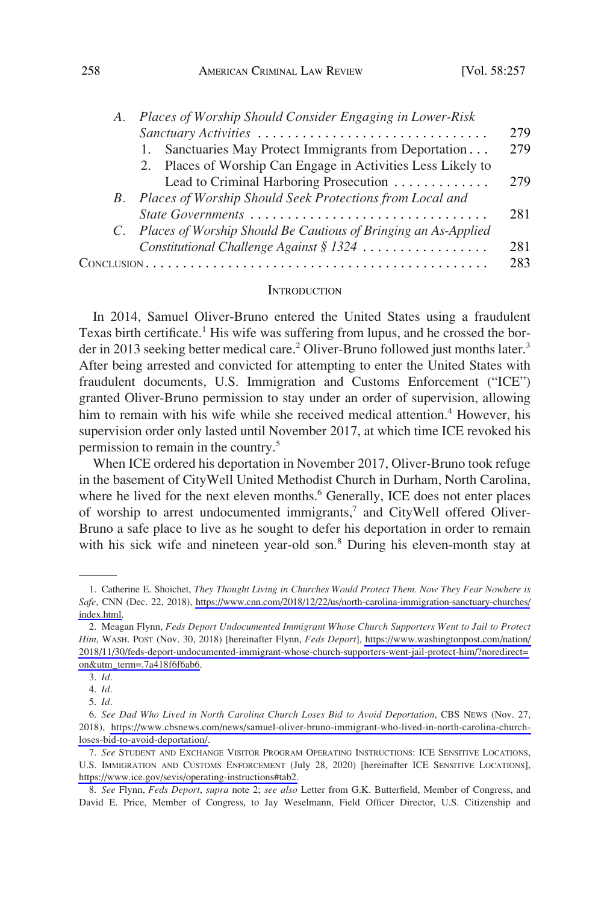<span id="page-1-0"></span>

| A. | Places of Worship Should Consider Engaging in Lower-Risk          |     |
|----|-------------------------------------------------------------------|-----|
|    | Sanctuary Activities                                              | 279 |
|    | 1. Sanctuaries May Protect Immigrants from Deportation            | 279 |
|    | 2. Places of Worship Can Engage in Activities Less Likely to      |     |
|    | Lead to Criminal Harboring Prosecution                            | 279 |
|    | B. Places of Worship Should Seek Protections from Local and       |     |
|    | State Governments                                                 | 281 |
|    | C. Places of Worship Should Be Cautious of Bringing an As-Applied |     |
|    | Constitutional Challenge Against § 1324                           | 281 |
|    |                                                                   | 283 |

#### **INTRODUCTION**

In 2014, Samuel Oliver-Bruno entered the United States using a fraudulent Texas birth certificate.<sup>1</sup> His wife was suffering from lupus, and he crossed the border in 2013 seeking better medical care.<sup>2</sup> Oliver-Bruno followed just months later.<sup>3</sup> After being arrested and convicted for attempting to enter the United States with fraudulent documents, U.S. Immigration and Customs Enforcement ("ICE") granted Oliver-Bruno permission to stay under an order of supervision, allowing him to remain with his wife while she received medical attention.<sup>4</sup> However, his supervision order only lasted until November 2017, at which time ICE revoked his permission to remain in the country.5

When ICE ordered his deportation in November 2017, Oliver-Bruno took refuge in the basement of CityWell United Methodist Church in Durham, North Carolina, where he lived for the next eleven months.<sup>6</sup> Generally, ICE does not enter places of worship to arrest undocumented immigrants, $\bar{y}$  and CityWell offered Oliver-Bruno a safe place to live as he sought to defer his deportation in order to remain with his sick wife and nineteen year-old son.<sup>8</sup> During his eleven-month stay at

<sup>1.</sup> Catherine E. Shoichet, *They Thought Living in Churches Would Protect Them. Now They Fear Nowhere is Safe*, CNN (Dec. 22, 2018), [https://www.cnn.com/2018/12/22/us/north-carolina-immigration-sanctuary-churches/](https://www.cnn.com/2018/12/22/us/north-carolina-immigration-sanctuary-churches/index.html)  [index.html.](https://www.cnn.com/2018/12/22/us/north-carolina-immigration-sanctuary-churches/index.html)

<sup>2.</sup> Meagan Flynn, Feds Deport Undocumented Immigrant Whose Church Supporters Went to Jail to Protect *Him*, WASH. POST (Nov. 30, 2018) [hereinafter Flynn, *Feds Deport*], [https://www.washingtonpost.com/nation/](https://www.washingtonpost.com/nation/2018/11/30/feds-deport-undocumented-immigrant-whose-church-supporters-went-jail-protect-him/?noredirect=on&utm_term=.7a418f6f6ab6) [2018/11/30/feds-deport-undocumented-immigrant-whose-church-supporters-went-jail-protect-him/?noredirect=](https://www.washingtonpost.com/nation/2018/11/30/feds-deport-undocumented-immigrant-whose-church-supporters-went-jail-protect-him/?noredirect=on&utm_term=.7a418f6f6ab6)  [on&utm\\_term=.7a418f6f6ab6](https://www.washingtonpost.com/nation/2018/11/30/feds-deport-undocumented-immigrant-whose-church-supporters-went-jail-protect-him/?noredirect=on&utm_term=.7a418f6f6ab6).

<sup>3.</sup> *Id*.

<sup>4.</sup> *Id*.

<sup>5.</sup> *Id*.

*See Dad Who Lived in North Carolina Church Loses Bid to Avoid Deportation*, CBS NEWS (Nov. 27, 6. 2018), [https://www.cbsnews.com/news/samuel-oliver-bruno-immigrant-who-lived-in-north-carolina-church](https://www.cbsnews.com/news/samuel-oliver-bruno-immigrant-who-lived-in-north-carolina-church-loses-bid-to-avoid-deportation/)[loses-bid-to-avoid-deportation/.](https://www.cbsnews.com/news/samuel-oliver-bruno-immigrant-who-lived-in-north-carolina-church-loses-bid-to-avoid-deportation/)

*See* STUDENT AND EXCHANGE VISITOR PROGRAM OPERATING INSTRUCTIONS: ICE SENSITIVE LOCATIONS, 7. U.S. IMMIGRATION AND CUSTOMS ENFORCEMENT (July 28, 2020) [hereinafter ICE SENSITIVE LOCATIONS], [https://www.ice.gov/sevis/operating-instructions#tab2.](https://www.ice.gov/sevis/operating-instructions#tab2)

*See* Flynn, *Feds Deport*, *supra* note 2; *see also* Letter from G.K. Butterfield, Member of Congress, and 8. David E. Price, Member of Congress, to Jay Weselmann, Field Officer Director, U.S. Citizenship and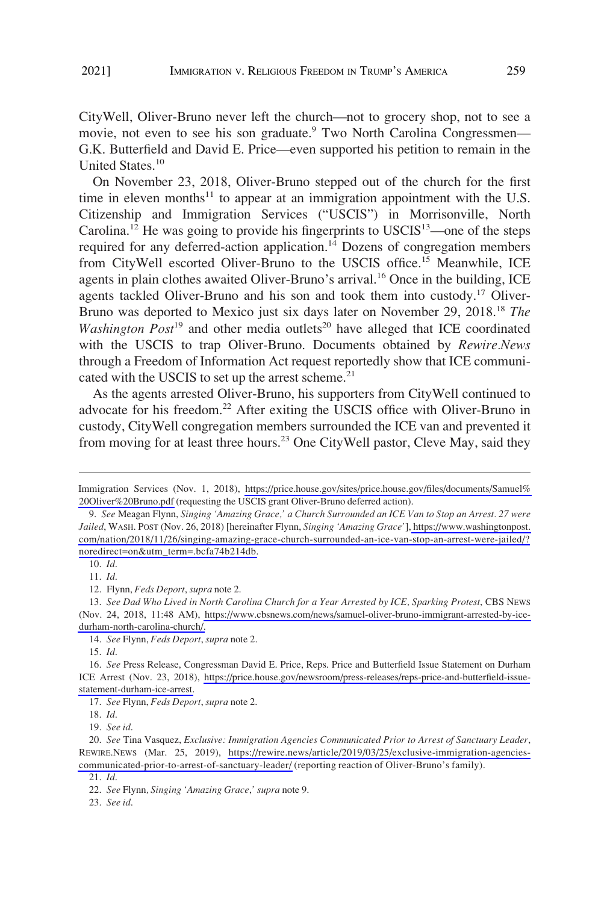CityWell, Oliver-Bruno never left the church—not to grocery shop, not to see a movie, not even to see his son graduate.<sup>9</sup> Two North Carolina Congressmen— G.K. Butterfield and David E. Price—even supported his petition to remain in the United States.10

On November 23, 2018, Oliver-Bruno stepped out of the church for the first time in eleven months<sup>11</sup> to appear at an immigration appointment with the U.S. Citizenship and Immigration Services ("USCIS") in Morrisonville, North Carolina.<sup>12</sup> He was going to provide his fingerprints to  $USCIS<sup>13</sup>$ —one of the steps required for any deferred-action application.<sup>14</sup> Dozens of congregation members from CityWell escorted Oliver-Bruno to the USCIS office.<sup>15</sup> Meanwhile, ICE agents in plain clothes awaited Oliver-Bruno's arrival.<sup>16</sup> Once in the building, ICE agents tackled Oliver-Bruno and his son and took them into custody.<sup>17</sup> Oliver-Bruno was deported to Mexico just six days later on November 29, 2018.18 *The Washington Post*<sup>19</sup> and other media outlets<sup>20</sup> have alleged that ICE coordinated with the USCIS to trap Oliver-Bruno. Documents obtained by *Rewire.News*  through a Freedom of Information Act request reportedly show that ICE communicated with the USCIS to set up the arrest scheme. $21$ 

As the agents arrested Oliver-Bruno, his supporters from CityWell continued to advocate for his freedom.<sup>22</sup> After exiting the USCIS office with Oliver-Bruno in custody, CityWell congregation members surrounded the ICE van and prevented it from moving for at least three hours.<sup>23</sup> One CityWell pastor, Cleve May, said they

11. *Id*.

12. Flynn, *Feds Deport*, *supra* note 2.

14. *See* Flynn, *Feds Deport*, *supra* note 2.

15. *Id*.

*See* Press Release, Congressman David E. Price, Reps. Price and Butterfield Issue Statement on Durham 16. ICE Arrest (Nov. 23, 2018), [https://price.house.gov/newsroom/press-releases/reps-price-and-butterfield-issue](https://price.house.gov/newsroom/press-releases/reps-price-and-butterfield-issue-statement-durham-ice-arrest)[statement-durham-ice-arrest.](https://price.house.gov/newsroom/press-releases/reps-price-and-butterfield-issue-statement-durham-ice-arrest)

19. *See id*.

*See* Tina Vasquez, *Exclusive: Immigration Agencies Communicated Prior to Arrest of Sanctuary Leader*, 20. REWIRE.NEWS (Mar. 25, 2019), [https://rewire.news/article/2019/03/25/exclusive-immigration-agencies](https://rewire.news/article/2019/03/25/exclusive-immigration-agencies-communicated-prior-to-arrest-of-sanctuary-leader/)[communicated-prior-to-arrest-of-sanctuary-leader/](https://rewire.news/article/2019/03/25/exclusive-immigration-agencies-communicated-prior-to-arrest-of-sanctuary-leader/) (reporting reaction of Oliver-Bruno's family).

21. *Id*.

23. *See id*.

Immigration Services (Nov. 1, 2018), [https://price.house.gov/sites/price.house.gov/files/documents/Samuel%](https://price.house.gov/sites/price.house.gov/files/documents/Samuel%20Oliver%20Bruno.pdf)  [20Oliver%20Bruno.pdf](https://price.house.gov/sites/price.house.gov/files/documents/Samuel%20Oliver%20Bruno.pdf) (requesting the USCIS grant Oliver-Bruno deferred action).

*See* Meagan Flynn, *Singing 'Amazing Grace,' a Church Surrounded an ICE Van to Stop an Arrest. 27 were*  9. *Jailed*, WASH. POST (Nov. 26, 2018) [hereinafter Flynn, *Singing 'Amazing Grace'*], [https://www.washingtonpost.](https://www.washingtonpost.com/nation/2018/11/26/singing-amazing-grace-church-surrounded-an-ice-van-stop-an-arrest-were-jailed/?noredirect=on&utm_term=.bcfa74b214db) [com/nation/2018/11/26/singing-amazing-grace-church-surrounded-an-ice-van-stop-an-arrest-were-jailed/?](https://www.washingtonpost.com/nation/2018/11/26/singing-amazing-grace-church-surrounded-an-ice-van-stop-an-arrest-were-jailed/?noredirect=on&utm_term=.bcfa74b214db)  [noredirect=on&utm\\_term=.bcfa74b214db.](https://www.washingtonpost.com/nation/2018/11/26/singing-amazing-grace-church-surrounded-an-ice-van-stop-an-arrest-were-jailed/?noredirect=on&utm_term=.bcfa74b214db)

<sup>10.</sup> *Id*.

<sup>13.</sup> See Dad Who Lived in North Carolina Church for a Year Arrested by ICE, Sparking Protest, CBS NEWS (Nov. 24, 2018, 11:48 AM), [https://www.cbsnews.com/news/samuel-oliver-bruno-immigrant-arrested-by-ice](https://www.cbsnews.com/news/samuel-oliver-bruno-immigrant-arrested-by-ice-durham-north-carolina-church/)[durham-north-carolina-church/.](https://www.cbsnews.com/news/samuel-oliver-bruno-immigrant-arrested-by-ice-durham-north-carolina-church/)

<sup>17.</sup> *See* Flynn, *Feds Deport*, *supra* note 2.

<sup>18.</sup> *Id*.

<sup>22.</sup> *See* Flynn*, Singing 'Amazing Grace*,*' supra* note 9.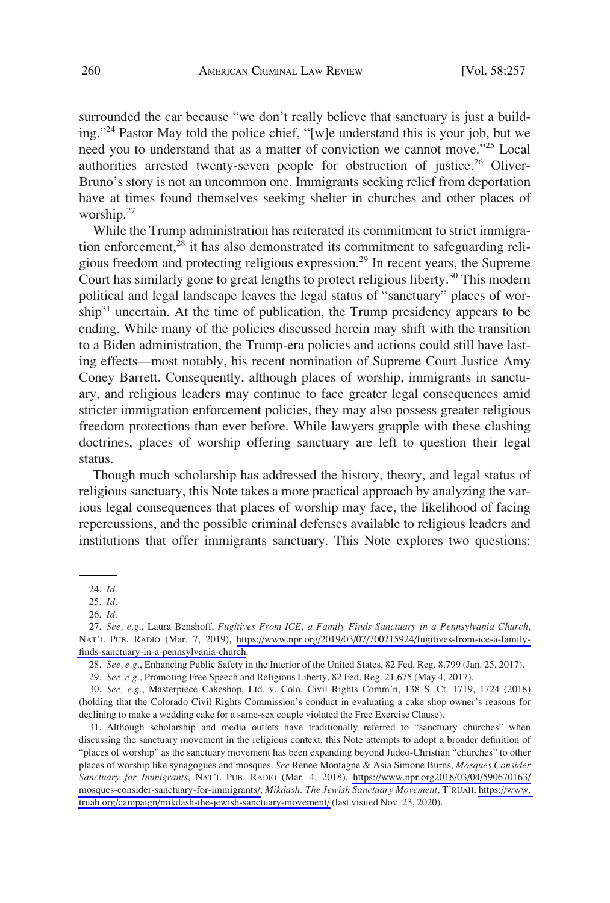surrounded the car because "we don't really believe that sanctuary is just a building."24 Pastor May told the police chief, "[w]e understand this is your job, but we need you to understand that as a matter of conviction we cannot move."25 Local authorities arrested twenty-seven people for obstruction of justice.<sup>26</sup> Oliver-Bruno's story is not an uncommon one. Immigrants seeking relief from deportation have at times found themselves seeking shelter in churches and other places of worship.<sup>27</sup>

While the Trump administration has reiterated its commitment to strict immigration enforcement, $28$  it has also demonstrated its commitment to safeguarding religious freedom and protecting religious expression.29 In recent years, the Supreme Court has similarly gone to great lengths to protect religious liberty.<sup>30</sup> This modern political and legal landscape leaves the legal status of "sanctuary" places of worship<sup>31</sup> uncertain. At the time of publication, the Trump presidency appears to be ending. While many of the policies discussed herein may shift with the transition to a Biden administration, the Trump-era policies and actions could still have lasting effects—most notably, his recent nomination of Supreme Court Justice Amy Coney Barrett. Consequently, although places of worship, immigrants in sanctuary, and religious leaders may continue to face greater legal consequences amid stricter immigration enforcement policies, they may also possess greater religious freedom protections than ever before. While lawyers grapple with these clashing doctrines, places of worship offering sanctuary are left to question their legal status.

Though much scholarship has addressed the history, theory, and legal status of religious sanctuary, this Note takes a more practical approach by analyzing the various legal consequences that places of worship may face, the likelihood of facing repercussions, and the possible criminal defenses available to religious leaders and institutions that offer immigrants sanctuary. This Note explores two questions:

30. *See, e.g*., Masterpiece Cakeshop, Ltd. v. Colo. Civil Rights Comm'n, 138 S. Ct. 1719, 1724 (2018) (holding that the Colorado Civil Rights Commission's conduct in evaluating a cake shop owner's reasons for declining to make a wedding cake for a same-sex couple violated the Free Exercise Clause).

Although scholarship and media outlets have traditionally referred to "sanctuary churches" when 31. discussing the sanctuary movement in the religious context, this Note attempts to adopt a broader definition of "places of worship" as the sanctuary movement has been expanding beyond Judeo-Christian "churches" to other places of worship like synagogues and mosques. *See* Renee Montagne & Asia Simone Burns, *Mosques Consider Sanctuary for Immigrants*, NAT'L PUB. RADIO (Mar. 4, 2018), [https://www.npr.org2018/03/04/590670163/](https://www.npr.org2018/03/04/590670163/mosques-consider-sanctuary-for-immigrants/) [mosques-consider-sanctuary-for-immigrants/;](https://www.npr.org2018/03/04/590670163/mosques-consider-sanctuary-for-immigrants/) *Mikdash: The Jewish Sanctuary Movement*, T'RUAH, [https://www.](https://www.truah.org/campaign/mikdash-the-jewish-sanctuary-movement/)  [truah.org/campaign/mikdash-the-jewish-sanctuary-movement/](https://www.truah.org/campaign/mikdash-the-jewish-sanctuary-movement/) (last visited Nov. 23, 2020).

<sup>24.</sup> *Id*.

<sup>25.</sup> *Id*.

<sup>26.</sup> *Id*.

*See, e.g*., Laura Benshoff, *Fugitives From ICE, a Family Finds Sanctuary in a Pennsylvania Church*, 27. NAT'L PUB. RADIO (Mar. 7, 2019), [https://www.npr.org/2019/03/07/700215924/fugitives-from-ice-a-family](https://www.npr.org/2019/03/07/700215924/fugitives-from-ice-a-family-finds-sanctuary-in-a-pennsylvania-church)[finds-sanctuary-in-a-pennsylvania-church.](https://www.npr.org/2019/03/07/700215924/fugitives-from-ice-a-family-finds-sanctuary-in-a-pennsylvania-church)

<sup>28.</sup> *See, e.g*., Enhancing Public Safety in the Interior of the United States, 82 Fed. Reg. 8,799 (Jan. 25, 2017).

<sup>29.</sup> *See, e.g*., Promoting Free Speech and Religious Liberty, 82 Fed. Reg. 21,675 (May 4, 2017).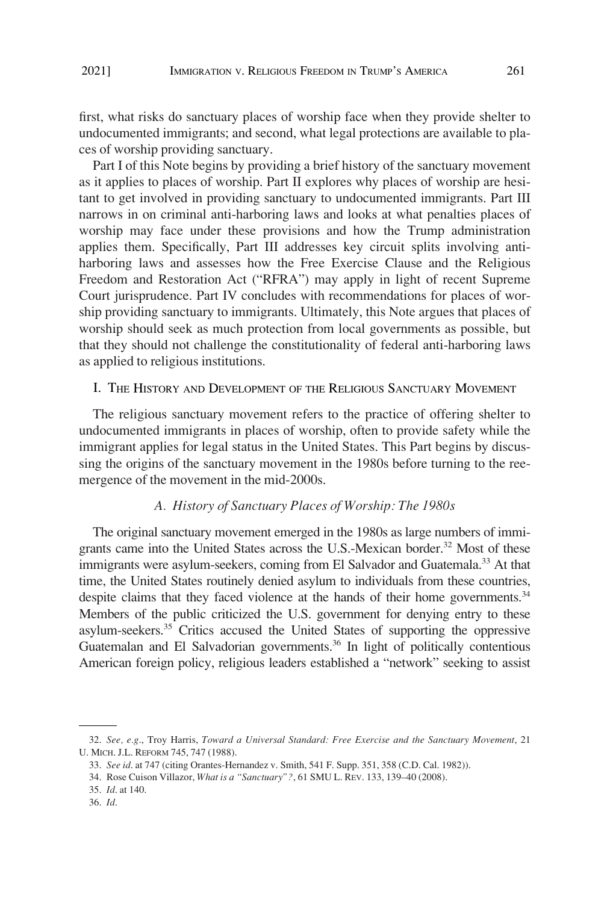<span id="page-4-0"></span>first, what risks do sanctuary places of worship face when they provide shelter to undocumented immigrants; and second, what legal protections are available to places of worship providing sanctuary.

Part I of this Note begins by providing a brief history of the sanctuary movement as it applies to places of worship. Part II explores why places of worship are hesitant to get involved in providing sanctuary to undocumented immigrants. Part III narrows in on criminal anti-harboring laws and looks at what penalties places of worship may face under these provisions and how the Trump administration applies them. Specifically, Part III addresses key circuit splits involving antiharboring laws and assesses how the Free Exercise Clause and the Religious Freedom and Restoration Act ("RFRA") may apply in light of recent Supreme Court jurisprudence. Part IV concludes with recommendations for places of worship providing sanctuary to immigrants. Ultimately, this Note argues that places of worship should seek as much protection from local governments as possible, but that they should not challenge the constitutionality of federal anti-harboring laws as applied to religious institutions.

# I. THE HISTORY AND DEVELOPMENT OF THE RELIGIOUS SANCTUARY MOVEMENT

The religious sanctuary movement refers to the practice of offering shelter to undocumented immigrants in places of worship, often to provide safety while the immigrant applies for legal status in the United States. This Part begins by discussing the origins of the sanctuary movement in the 1980s before turning to the reemergence of the movement in the mid-2000s.

## *A. History of Sanctuary Places of Worship: The 1980s*

The original sanctuary movement emerged in the 1980s as large numbers of immigrants came into the United States across the U.S.-Mexican border.<sup>32</sup> Most of these immigrants were asylum-seekers, coming from El Salvador and Guatemala.<sup>33</sup> At that time, the United States routinely denied asylum to individuals from these countries, despite claims that they faced violence at the hands of their home governments.<sup>34</sup> Members of the public criticized the U.S. government for denying entry to these asylum-seekers.35 Critics accused the United States of supporting the oppressive Guatemalan and El Salvadorian governments.<sup>36</sup> In light of politically contentious American foreign policy, religious leaders established a "network" seeking to assist

<sup>32.</sup> *See, e.g*., Troy Harris, *Toward a Universal Standard: Free Exercise and the Sanctuary Movement*, 21 U. MICH. J.L. REFORM 745, 747 (1988).

<sup>33.</sup> *See id*. at 747 (citing Orantes-Hernandez v. Smith, 541 F. Supp. 351, 358 (C.D. Cal. 1982)).

<sup>34.</sup> Rose Cuison Villazor, *What is a "Sanctuary"?*, 61 SMU L. REV. 133, 139–40 (2008).

<sup>35.</sup> *Id*. at 140.

<sup>36.</sup> *Id*.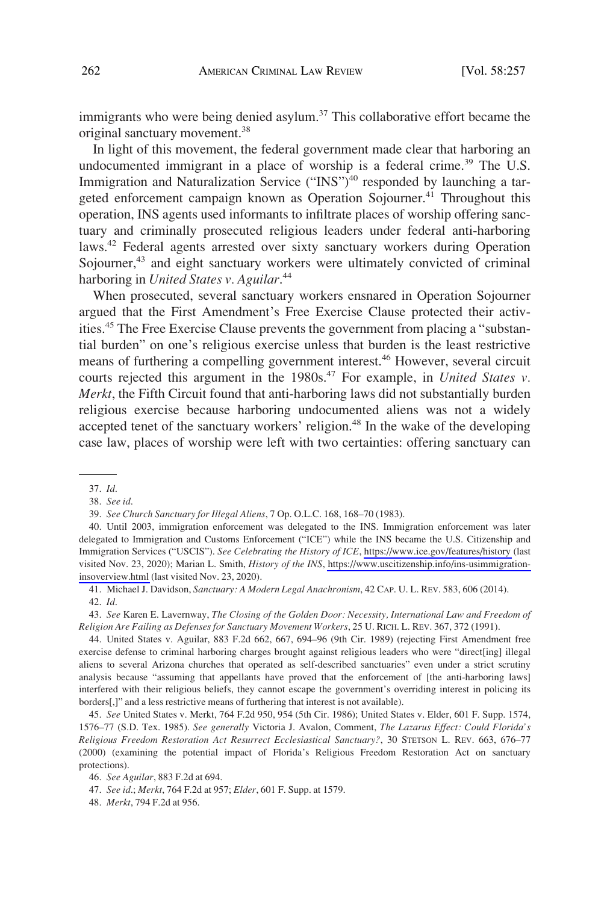immigrants who were being denied asylum.<sup>37</sup> This collaborative effort became the original sanctuary movement.38

In light of this movement, the federal government made clear that harboring an undocumented immigrant in a place of worship is a federal crime.<sup>39</sup> The U.S. Immigration and Naturalization Service ("INS")<sup>40</sup> responded by launching a targeted enforcement campaign known as Operation Sojourner.<sup>41</sup> Throughout this operation, INS agents used informants to infiltrate places of worship offering sanctuary and criminally prosecuted religious leaders under federal anti-harboring laws.<sup>42</sup> Federal agents arrested over sixty sanctuary workers during Operation Sojourner,<sup>43</sup> and eight sanctuary workers were ultimately convicted of criminal harboring in *United States v. Aguilar*. 44

When prosecuted, several sanctuary workers ensnared in Operation Sojourner argued that the First Amendment's Free Exercise Clause protected their activities.<sup>45</sup> The Free Exercise Clause prevents the government from placing a "substantial burden" on one's religious exercise unless that burden is the least restrictive means of furthering a compelling government interest.<sup>46</sup> However, several circuit courts rejected this argument in the 1980s.<sup>47</sup> For example, in *United States v. Merkt*, the Fifth Circuit found that anti-harboring laws did not substantially burden religious exercise because harboring undocumented aliens was not a widely accepted tenet of the sanctuary workers' religion.<sup>48</sup> In the wake of the developing case law, places of worship were left with two certainties: offering sanctuary can

43. *See* Karen E. Lavernway, *The Closing of the Golden Door: Necessity, International Law and Freedom of Religion Are Failing as Defenses for Sanctuary Movement Workers*, 25 U. RICH. L. REV. 367, 372 (1991).

44. United States v. Aguilar, 883 F.2d 662, 667, 694–96 (9th Cir. 1989) (rejecting First Amendment free exercise defense to criminal harboring charges brought against religious leaders who were "direct[ing] illegal aliens to several Arizona churches that operated as self-described sanctuaries" even under a strict scrutiny analysis because "assuming that appellants have proved that the enforcement of [the anti-harboring laws] interfered with their religious beliefs, they cannot escape the government's overriding interest in policing its borders[,]" and a less restrictive means of furthering that interest is not available).

45. *See* United States v. Merkt, 764 F.2d 950, 954 (5th Cir. 1986); United States v. Elder, 601 F. Supp. 1574, 1576–77 (S.D. Tex. 1985). *See generally* Victoria J. Avalon, Comment, *The Lazarus Effect: Could Florida's Religious Freedom Restoration Act Resurrect Ecclesiastical Sanctuary?*, 30 STETSON L. REV. 663, 676–77 (2000) (examining the potential impact of Florida's Religious Freedom Restoration Act on sanctuary protections).

<sup>37.</sup> *Id*.

<sup>38.</sup> *See id*.

<sup>39.</sup> *See Church Sanctuary for Illegal Aliens*, 7 Op. O.L.C. 168, 168–70 (1983).

<sup>40.</sup> Until 2003, immigration enforcement was delegated to the INS. Immigration enforcement was later delegated to Immigration and Customs Enforcement ("ICE") while the INS became the U.S. Citizenship and Immigration Services ("USCIS"). *See Celebrating the History of ICE*,<https://www.ice.gov/features/history>(last visited Nov. 23, 2020); Marian L. Smith, *History of the INS*, [https://www.uscitizenship.info/ins-usimmigration](https://www.uscitizenship.info/ins-usimmigration-insoverview.html)[insoverview.html](https://www.uscitizenship.info/ins-usimmigration-insoverview.html) (last visited Nov. 23, 2020).

<sup>41.</sup> Michael J. Davidson, *Sanctuary: A Modern Legal Anachronism*, 42 CAP. U. L. REV. 583, 606 (2014). 42. *Id*.

<sup>46.</sup> *See Aguilar*, 883 F.2d at 694.

<sup>47.</sup> *See id*.; *Merkt*, 764 F.2d at 957; *Elder*, 601 F. Supp. at 1579.

<sup>48.</sup> *Merkt*, 794 F.2d at 956.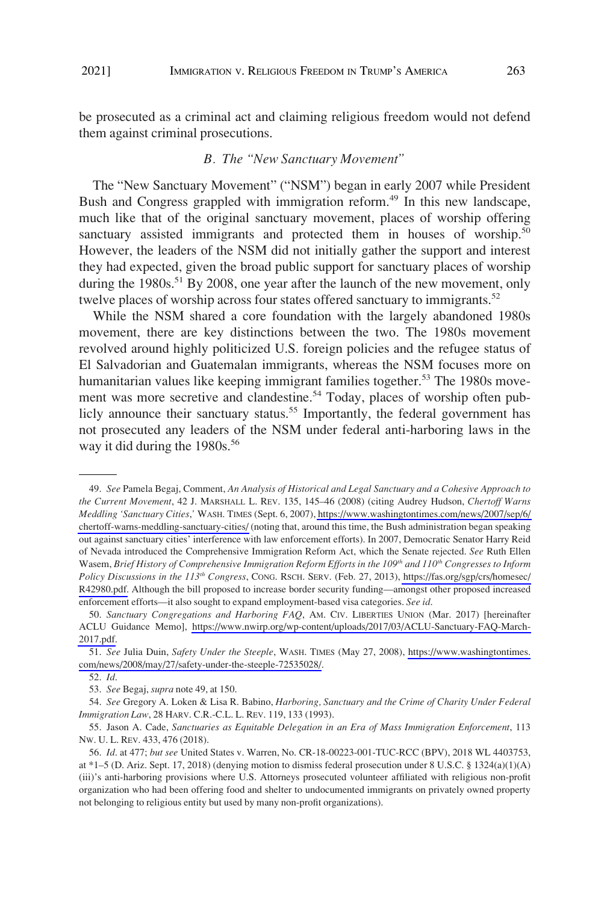<span id="page-6-0"></span>be prosecuted as a criminal act and claiming religious freedom would not defend them against criminal prosecutions.

### *B. The "New Sanctuary Movement"*

The "New Sanctuary Movement" ("NSM") began in early 2007 while President Bush and Congress grappled with immigration reform.<sup>49</sup> In this new landscape, much like that of the original sanctuary movement, places of worship offering sanctuary assisted immigrants and protected them in houses of worship.<sup>50</sup> However, the leaders of the NSM did not initially gather the support and interest they had expected, given the broad public support for sanctuary places of worship during the  $1980s$ <sup>51</sup> By 2008, one year after the launch of the new movement, only twelve places of worship across four states offered sanctuary to immigrants.<sup>52</sup>

While the NSM shared a core foundation with the largely abandoned 1980s movement, there are key distinctions between the two. The 1980s movement revolved around highly politicized U.S. foreign policies and the refugee status of El Salvadorian and Guatemalan immigrants, whereas the NSM focuses more on humanitarian values like keeping immigrant families together.<sup>53</sup> The 1980s movement was more secretive and clandestine.<sup>54</sup> Today, places of worship often publicly announce their sanctuary status.<sup>55</sup> Importantly, the federal government has not prosecuted any leaders of the NSM under federal anti-harboring laws in the way it did during the  $1980s.^{56}$ 

*See* Pamela Begaj, Comment, *An Analysis of Historical and Legal Sanctuary and a Cohesive Approach to*  49. *the Current Movement*, 42 J. MARSHALL L. REV. 135, 145–46 (2008) (citing Audrey Hudson, *Chertoff Warns Meddling 'Sanctuary Cities*,*'* WASH. TIMES (Sept. 6, 2007), [https://www.washingtontimes.com/news/2007/sep/6/](https://www.washingtontimes.com/news/2007/sep/6/chertoff-warns-meddling-sanctuary-cities/)  [chertoff-warns-meddling-sanctuary-cities/](https://www.washingtontimes.com/news/2007/sep/6/chertoff-warns-meddling-sanctuary-cities/) (noting that, around this time, the Bush administration began speaking out against sanctuary cities' interference with law enforcement efforts). In 2007, Democratic Senator Harry Reid of Nevada introduced the Comprehensive Immigration Reform Act, which the Senate rejected. *See* Ruth Ellen Wasem, *Brief History of Comprehensive Immigration Reform Efforts in the 109<sup>th</sup> and 110<sup>th</sup> Congresses to Inform Policy Discussions in the 113th Congress*, CONG. RSCH. SERV. (Feb. 27, 2013), [https://fas.org/sgp/crs/homesec/](https://fas.org/sgp/crs/homesec/R42980.pdf) [R42980.pdf.](https://fas.org/sgp/crs/homesec/R42980.pdf) Although the bill proposed to increase border security funding—amongst other proposed increased enforcement efforts—it also sought to expand employment-based visa categories. *See id*.

*Sanctuary Congregations and Harboring FAQ*, AM. CIV. LIBERTIES UNION (Mar. 2017) [hereinafter 50. ACLU Guidance Memo], [https://www.nwirp.org/wp-content/uploads/2017/03/ACLU-Sanctuary-FAQ-March-](https://www.nwirp.org/wp-content/uploads/2017/03/ACLU-Sanctuary-FAQ-March-2017.pdf)[2017.pdf.](https://www.nwirp.org/wp-content/uploads/2017/03/ACLU-Sanctuary-FAQ-March-2017.pdf)

*See* Julia Duin, *Safety Under the Steeple*, WASH. TIMES (May 27, 2008), [https://www.washingtontimes.](https://www.washingtontimes.com/news/2008/may/27/safety-under-the-steeple-72535028/) 51. [com/news/2008/may/27/safety-under-the-steeple-72535028/.](https://www.washingtontimes.com/news/2008/may/27/safety-under-the-steeple-72535028/)

<sup>52.</sup> *Id*.

<sup>53.</sup> *See* Begaj, *supra* note 49, at 150.

<sup>54.</sup> *See* Gregory A. Loken & Lisa R. Babino, *Harboring, Sanctuary and the Crime of Charity Under Federal Immigration Law*, 28 HARV. C.R.-C.L. L. REV. 119, 133 (1993).

<sup>55.</sup> Jason A. Cade, *Sanctuaries as Equitable Delegation in an Era of Mass Immigration Enforcement*, 113 NW. U. L. REV. 433, 476 (2018).

<sup>56.</sup> *Id*. at 477; *but see* United States v. Warren, No. CR-18-00223-001-TUC-RCC (BPV), 2018 WL 4403753, at \*1–5 (D. Ariz. Sept. 17, 2018) (denying motion to dismiss federal prosecution under 8 U.S.C. § 1324(a)(1)(A) (iii)'s anti-harboring provisions where U.S. Attorneys prosecuted volunteer affiliated with religious non-profit organization who had been offering food and shelter to undocumented immigrants on privately owned property not belonging to religious entity but used by many non-profit organizations).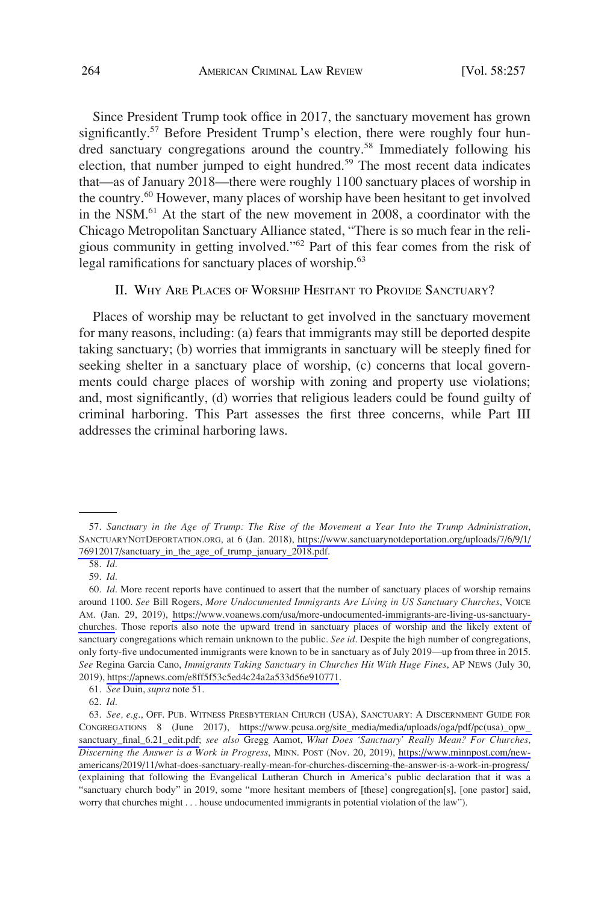<span id="page-7-0"></span>Since President Trump took office in 2017, the sanctuary movement has grown significantly.<sup>57</sup> Before President Trump's election, there were roughly four hundred sanctuary congregations around the country.<sup>58</sup> Immediately following his election, that number jumped to eight hundred.59 The most recent data indicates that—as of January 2018—there were roughly 1100 sanctuary places of worship in the country.<sup>60</sup> However, many places of worship have been hesitant to get involved in the NSM.61 At the start of the new movement in 2008, a coordinator with the Chicago Metropolitan Sanctuary Alliance stated, "There is so much fear in the religious community in getting involved."62 Part of this fear comes from the risk of legal ramifications for sanctuary places of worship.<sup>63</sup>

### II. WHY ARE PLACES OF WORSHIP HESITANT TO PROVIDE SANCTUARY?

Places of worship may be reluctant to get involved in the sanctuary movement for many reasons, including: (a) fears that immigrants may still be deported despite taking sanctuary; (b) worries that immigrants in sanctuary will be steeply fined for seeking shelter in a sanctuary place of worship, (c) concerns that local governments could charge places of worship with zoning and property use violations; and, most significantly, (d) worries that religious leaders could be found guilty of criminal harboring. This Part assesses the first three concerns, while Part III addresses the criminal harboring laws.

*Sanctuary in the Age of Trump: The Rise of the Movement a Year Into the Trump Administration*, 57. SANCTUARYNOTDEPORTATION.ORG, at 6 (Jan. 2018), [https://www.sanctuarynotdeportation.org/uploads/7/6/9/1/](https://www.sanctuarynotdeportation.org/uploads/7/6/9/1/76912017/sanctuary_in_the_age_of_trump_january_2018.pdf) [76912017/sanctuary\\_in\\_the\\_age\\_of\\_trump\\_january\\_2018.pdf.](https://www.sanctuarynotdeportation.org/uploads/7/6/9/1/76912017/sanctuary_in_the_age_of_trump_january_2018.pdf)

<sup>58.</sup> *Id*.

<sup>59.</sup> *Id*.

<sup>60.</sup> *Id*. More recent reports have continued to assert that the number of sanctuary places of worship remains around 1100. *See* Bill Rogers, *More Undocumented Immigrants Are Living in US Sanctuary Churches*, VOICE AM. (Jan. 29, 2019), [https://www.voanews.com/usa/more-undocumented-immigrants-are-living-us-sanctuary](https://www.voanews.com/usa/more-undocumented-immigrants-are-living-us-sanctuary-churches)[churches.](https://www.voanews.com/usa/more-undocumented-immigrants-are-living-us-sanctuary-churches) Those reports also note the upward trend in sanctuary places of worship and the likely extent of sanctuary congregations which remain unknown to the public. *See id*. Despite the high number of congregations, only forty-five undocumented immigrants were known to be in sanctuary as of July 2019—up from three in 2015. *See* Regina Garcia Cano, *Immigrants Taking Sanctuary in Churches Hit With Huge Fines*, AP NEWS (July 30, 2019),<https://apnews.com/e8ff5f53c5ed4c24a2a533d56e910771>.

<sup>61.</sup> *See* Duin, *supra* note 51.

<sup>62.</sup> *Id*.

<sup>63.</sup> See, e.g., OFF. PUB. WITNESS PRESBYTERIAN CHURCH (USA), SANCTUARY: A DISCERNMENT GUIDE FOR CONGREGATIONS 8 (June 2017), [https://www.pcusa.org/site\\_media/media/uploads/oga/pdf/pc\(usa\)\\_opw\\_](https://www.pcusa.org/site_media/media/uploads/oga/pdf/pc(usa)_opw_sanctuary_final_6.21_edit.pdf)  [sanctuary\\_final\\_6.21\\_edit.pdf;](https://www.pcusa.org/site_media/media/uploads/oga/pdf/pc(usa)_opw_sanctuary_final_6.21_edit.pdf) *see also* Gregg Aamot, *What Does 'Sanctuary' Really Mean? For Churches, Discerning the Answer is a Work in Progress*, MINN. POST (Nov. 20, 2019), [https://www.minnpost.com/new](https://www.minnpost.com/new-americans/2019/11/what-does-sanctuary-really-mean-for-churches-discerning-the-answer-is-a-work-in-progress/)[americans/2019/11/what-does-sanctuary-really-mean-for-churches-discerning-the-answer-is-a-work-in-progress/](https://www.minnpost.com/new-americans/2019/11/what-does-sanctuary-really-mean-for-churches-discerning-the-answer-is-a-work-in-progress/)  (explaining that following the Evangelical Lutheran Church in America's public declaration that it was a "sanctuary church body" in 2019, some "more hesitant members of [these] congregation[s], [one pastor] said, worry that churches might . . . house undocumented immigrants in potential violation of the law").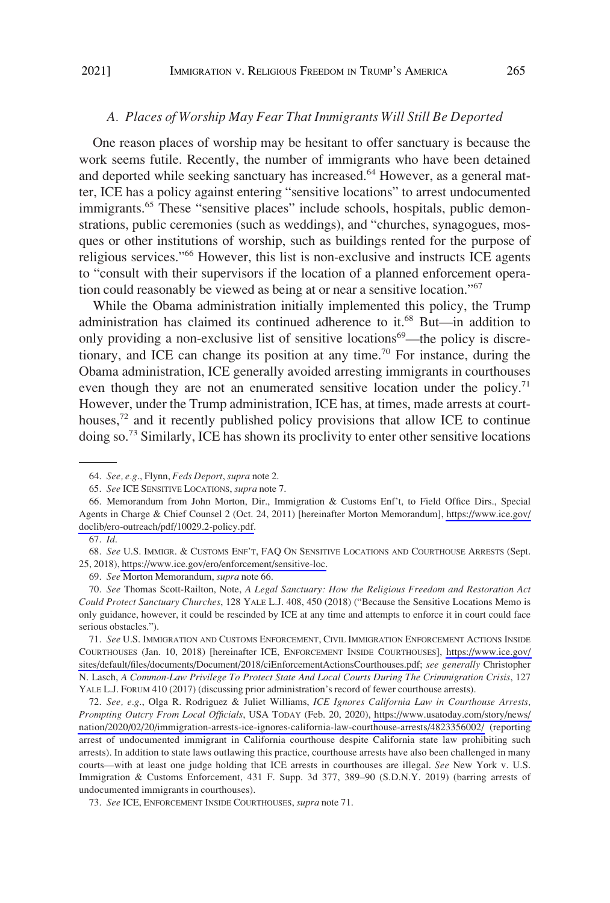#### <span id="page-8-0"></span>*A. Places of Worship May Fear That Immigrants Will Still Be Deported*

One reason places of worship may be hesitant to offer sanctuary is because the work seems futile. Recently, the number of immigrants who have been detained and deported while seeking sanctuary has increased. $64$  However, as a general matter, ICE has a policy against entering "sensitive locations" to arrest undocumented immigrants.<sup>65</sup> These "sensitive places" include schools, hospitals, public demonstrations, public ceremonies (such as weddings), and "churches, synagogues, mosques or other institutions of worship, such as buildings rented for the purpose of religious services."<sup>66</sup> However, this list is non-exclusive and instructs ICE agents to "consult with their supervisors if the location of a planned enforcement operation could reasonably be viewed as being at or near a sensitive location."67

While the Obama administration initially implemented this policy, the Trump administration has claimed its continued adherence to it.<sup>68</sup> But—in addition to only providing a non-exclusive list of sensitive locations<sup>69</sup>—the policy is discretionary, and ICE can change its position at any time.70 For instance, during the Obama administration, ICE generally avoided arresting immigrants in courthouses even though they are not an enumerated sensitive location under the policy.<sup>71</sup> However, under the Trump administration, ICE has, at times, made arrests at courthouses,<sup>72</sup> and it recently published policy provisions that allow ICE to continue doing so.<sup>73</sup> Similarly, ICE has shown its proclivity to enter other sensitive locations

70. *See* Thomas Scott-Railton, Note, *A Legal Sanctuary: How the Religious Freedom and Restoration Act Could Protect Sanctuary Churches*, 128 YALE L.J. 408, 450 (2018) ("Because the Sensitive Locations Memo is only guidance, however, it could be rescinded by ICE at any time and attempts to enforce it in court could face serious obstacles.").

*See* U.S. IMMIGRATION AND CUSTOMS ENFORCEMENT, CIVIL IMMIGRATION ENFORCEMENT ACTIONS INSIDE 71. COURTHOUSES (Jan. 10, 2018) [hereinafter ICE, ENFORCEMENT INSIDE COURTHOUSES], [https://www.ice.gov/](https://www.ice.gov/sites/default/files/documents/Document/2018/ciEnforcementActionsCourthouses.pdf)  [sites/default/files/documents/Document/2018/ciEnforcementActionsCourthouses.pdf;](https://www.ice.gov/sites/default/files/documents/Document/2018/ciEnforcementActionsCourthouses.pdf) *see generally* Christopher N. Lasch, *A Common-Law Privilege To Protect State And Local Courts During The Crimmigration Crisis*, 127 YALE L.J. FORUM 410 (2017) (discussing prior administration's record of fewer courthouse arrests).

*See, e.g*., Olga R. Rodriguez & Juliet Williams, *ICE Ignores California Law in Courthouse Arrests,*  72. *Prompting Outcry From Local Officials*, USA TODAY (Feb. 20, 2020), [https://www.usatoday.com/story/news/](https://www.usatoday.com/story/news/nation/2020/02/20/immigration-arrests-ice-ignores-california-law-courthouse-arrests/4823356002/)  [nation/2020/02/20/immigration-arrests-ice-ignores-california-law-courthouse-arrests/4823356002/](https://www.usatoday.com/story/news/nation/2020/02/20/immigration-arrests-ice-ignores-california-law-courthouse-arrests/4823356002/) (reporting arrest of undocumented immigrant in California courthouse despite California state law prohibiting such arrests). In addition to state laws outlawing this practice, courthouse arrests have also been challenged in many courts—with at least one judge holding that ICE arrests in courthouses are illegal. *See* New York v. U.S. Immigration & Customs Enforcement, 431 F. Supp. 3d 377, 389–90 (S.D.N.Y. 2019) (barring arrests of undocumented immigrants in courthouses).

73. *See* ICE, ENFORCEMENT INSIDE COURTHOUSES, *supra* note 71.

<sup>64.</sup> *See, e.g*., Flynn, *Feds Deport*, *supra* note 2.

<sup>65.</sup> *See* ICE SENSITIVE LOCATIONS, *supra* note 7.

<sup>66.</sup> Memorandum from John Morton, Dir., Immigration & Customs Enf't, to Field Office Dirs., Special Agents in Charge & Chief Counsel 2 (Oct. 24, 2011) [hereinafter Morton Memorandum], [https://www.ice.gov/](https://www.ice.gov/doclib/ero-outreach/pdf/10029.2-policy.pdf) [doclib/ero-outreach/pdf/10029.2-policy.pdf](https://www.ice.gov/doclib/ero-outreach/pdf/10029.2-policy.pdf).

<sup>67.</sup> *Id*.

<sup>68.</sup> See U.S. IMMIGR. & CUSTOMS ENF'T, FAQ ON SENSITIVE LOCATIONS AND COURTHOUSE ARRESTS (Sept. 25, 2018), [https://www.ice.gov/ero/enforcement/sensitive-loc.](https://www.ice.gov/ero/enforcement/sensitive-loc)

<sup>69.</sup> *See* Morton Memorandum, *supra* note 66.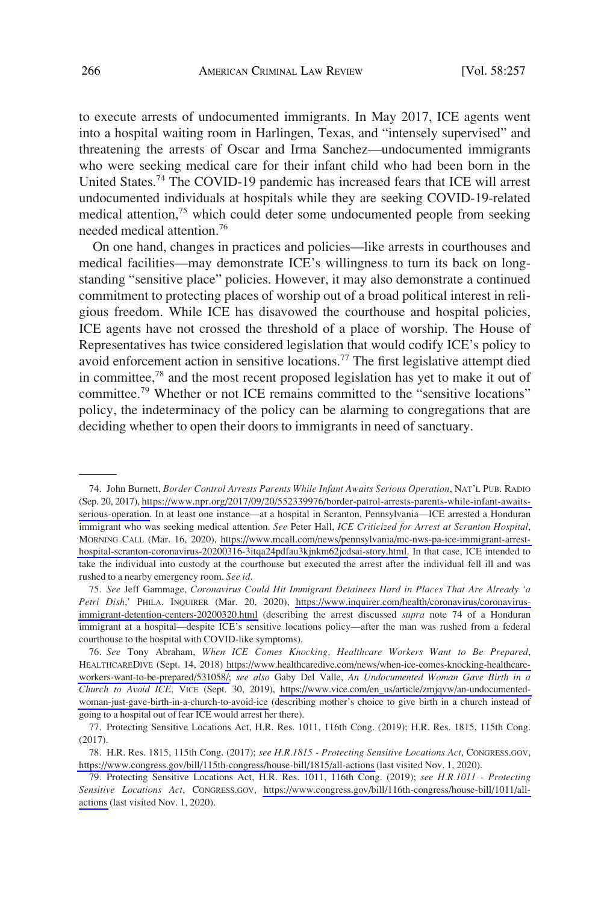to execute arrests of undocumented immigrants. In May 2017, ICE agents went into a hospital waiting room in Harlingen, Texas, and "intensely supervised" and threatening the arrests of Oscar and Irma Sanchez—undocumented immigrants who were seeking medical care for their infant child who had been born in the United States.<sup>74</sup> The COVID-19 pandemic has increased fears that ICE will arrest undocumented individuals at hospitals while they are seeking COVID-19-related medical attention,<sup>75</sup> which could deter some undocumented people from seeking needed medical attention.76

On one hand, changes in practices and policies—like arrests in courthouses and medical facilities—may demonstrate ICE's willingness to turn its back on longstanding "sensitive place" policies. However, it may also demonstrate a continued commitment to protecting places of worship out of a broad political interest in religious freedom. While ICE has disavowed the courthouse and hospital policies, ICE agents have not crossed the threshold of a place of worship. The House of Representatives has twice considered legislation that would codify ICE's policy to avoid enforcement action in sensitive locations.77 The first legislative attempt died in committee,78 and the most recent proposed legislation has yet to make it out of committee.<sup>79</sup> Whether or not ICE remains committed to the "sensitive locations" policy, the indeterminacy of the policy can be alarming to congregations that are deciding whether to open their doors to immigrants in need of sanctuary.

John Burnett, *Border Control Arrests Parents While Infant Awaits Serious Operation*, NAT'L PUB. RADIO 74. (Sep. 20, 2017), [https://www.npr.org/2017/09/20/552339976/border-patrol-arrests-parents-while-infant-awaits](https://www.npr.org/2017/09/20/552339976/border-patrol-arrests-parents-while-infant-awaits-serious-operation)[serious-operation.](https://www.npr.org/2017/09/20/552339976/border-patrol-arrests-parents-while-infant-awaits-serious-operation) In at least one instance—at a hospital in Scranton, Pennsylvania—ICE arrested a Honduran immigrant who was seeking medical attention. *See* Peter Hall, *ICE Criticized for Arrest at Scranton Hospital*, MORNING CALL (Mar. 16, 2020), [https://www.mcall.com/news/pennsylvania/mc-nws-pa-ice-immigrant-arrest](https://www.mcall.com/news/pennsylvania/mc-nws-pa-ice-immigrant-arrest-hospital-scranton-coronavirus-20200316-3itqa24pdfau3kjnkm62jcdsai-story.html)[hospital-scranton-coronavirus-20200316-3itqa24pdfau3kjnkm62jcdsai-story.html.](https://www.mcall.com/news/pennsylvania/mc-nws-pa-ice-immigrant-arrest-hospital-scranton-coronavirus-20200316-3itqa24pdfau3kjnkm62jcdsai-story.html) In that case, ICE intended to take the individual into custody at the courthouse but executed the arrest after the individual fell ill and was rushed to a nearby emergency room. *See id*.

*See* Jeff Gammage, *Coronavirus Could Hit Immigrant Detainees Hard in Places That Are Already 'a*  75. *Petri Dish*,<sup>'</sup> PHILA. INQUIRER (Mar. 20, 2020), [https://www.inquirer.com/health/coronavirus/coronavirus](https://www.inquirer.com/health/coronavirus/coronavirus-immigrant-detention-centers-20200320.html)[immigrant-detention-centers-20200320.html](https://www.inquirer.com/health/coronavirus/coronavirus-immigrant-detention-centers-20200320.html) (describing the arrest discussed *supra* note 74 of a Honduran immigrant at a hospital—despite ICE's sensitive locations policy—after the man was rushed from a federal courthouse to the hospital with COVID-like symptoms).

*See* Tony Abraham, *When ICE Comes Knocking, Healthcare Workers Want to Be Prepared*, 76. HEALTHCAREDIVE (Sept. 14, 2018) [https://www.healthcaredive.com/news/when-ice-comes-knocking-healthcare](https://www.healthcaredive.com/news/when-ice-comes-knocking-healthcare-workers-want-to-be-prepared/531058/)[workers-want-to-be-prepared/531058/;](https://www.healthcaredive.com/news/when-ice-comes-knocking-healthcare-workers-want-to-be-prepared/531058/) *see also* Gaby Del Valle, *An Undocumented Woman Gave Birth in a Church to Avoid ICE*, VICE (Sept. 30, 2019), [https://www.vice.com/en\\_us/article/zmjqvw/an-undocumented](https://www.vice.com/en_us/article/zmjqvw/an-undocumented-woman-just-gave-birth-in-a-church-to-avoid-ice)[woman-just-gave-birth-in-a-church-to-avoid-ice](https://www.vice.com/en_us/article/zmjqvw/an-undocumented-woman-just-gave-birth-in-a-church-to-avoid-ice) (describing mother's choice to give birth in a church instead of going to a hospital out of fear ICE would arrest her there).

<sup>77.</sup> Protecting Sensitive Locations Act, H.R. Res. 1011, 116th Cong. (2019); H.R. Res. 1815, 115th Cong. (2017).

H.R. Res. 1815, 115th Cong. (2017); *see H.R.1815 - Protecting Sensitive Locations Act*, CONGRESS.GOV, 78. <https://www.congress.gov/bill/115th-congress/house-bill/1815/all-actions>(last visited Nov. 1, 2020).

Protecting Sensitive Locations Act, H.R. Res. 1011, 116th Cong. (2019); *see H.R.1011 - Protecting*  79. *Sensitive Locations Act*, CONGRESS.GOV, [https://www.congress.gov/bill/116th-congress/house-bill/1011/all](https://www.congress.gov/bill/116th-congress/house-bill/1011/all-actions)[actions](https://www.congress.gov/bill/116th-congress/house-bill/1011/all-actions) (last visited Nov. 1, 2020).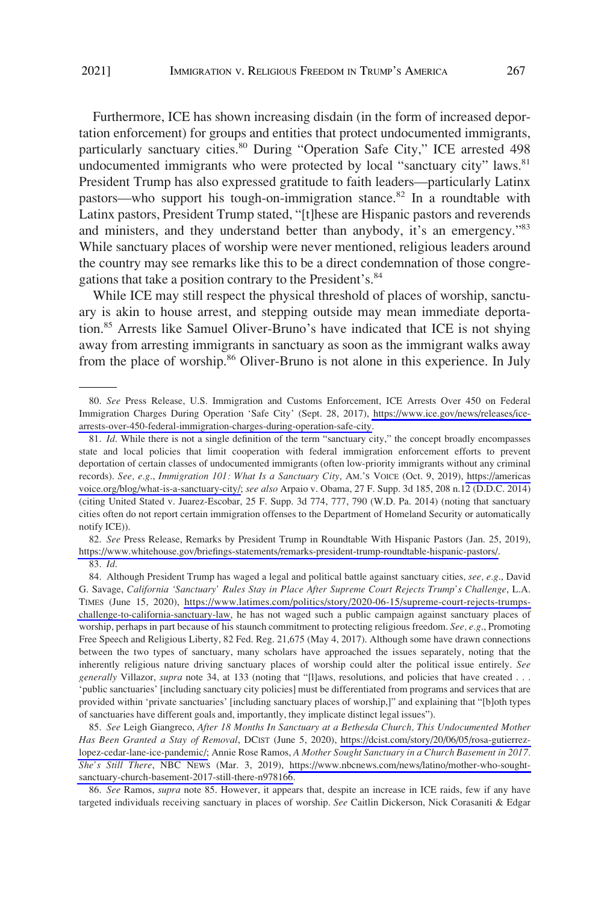Furthermore, ICE has shown increasing disdain (in the form of increased deportation enforcement) for groups and entities that protect undocumented immigrants, particularly sanctuary cities.<sup>80</sup> During "Operation Safe City," ICE arrested 498 undocumented immigrants who were protected by local "sanctuary city" laws.<sup>81</sup> President Trump has also expressed gratitude to faith leaders—particularly Latinx pastors—who support his tough-on-immigration stance.<sup>82</sup> In a roundtable with Latinx pastors, President Trump stated, "[t]hese are Hispanic pastors and reverends and ministers, and they understand better than anybody, it's an emergency."<sup>83</sup> While sanctuary places of worship were never mentioned, religious leaders around the country may see remarks like this to be a direct condemnation of those congregations that take a position contrary to the President's.<sup>84</sup>

While ICE may still respect the physical threshold of places of worship, sanctuary is akin to house arrest, and stepping outside may mean immediate deportation.85 Arrests like Samuel Oliver-Bruno's have indicated that ICE is not shying away from arresting immigrants in sanctuary as soon as the immigrant walks away from the place of worship.<sup>86</sup> Oliver-Bruno is not alone in this experience. In July

*See* Press Release, Remarks by President Trump in Roundtable With Hispanic Pastors (Jan. 25, 2019), 82. [https://www.whitehouse.gov/briefings-statements/remarks-president-trump-roundtable-hispanic-pastors/.](https://www.whitehouse.gov/briefings-statements/remarks-president-trump-roundtable-hispanic-pastors/) 83. *Id*.

*See* Ramos, *supra* note 85. However, it appears that, despite an increase in ICE raids, few if any have 86. targeted individuals receiving sanctuary in places of worship. *See* Caitlin Dickerson, Nick Corasaniti & Edgar

*See* Press Release, U.S. Immigration and Customs Enforcement, ICE Arrests Over 450 on Federal 80. Immigration Charges During Operation 'Safe City' (Sept. 28, 2017), [https://www.ice.gov/news/releases/ice](https://www.ice.gov/news/releases/ice-arrests-over-450-federal-immigration-charges-during-operation-safe-city)[arrests-over-450-federal-immigration-charges-during-operation-safe-city](https://www.ice.gov/news/releases/ice-arrests-over-450-federal-immigration-charges-during-operation-safe-city).

<sup>81.</sup> *Id*. While there is not a single definition of the term "sanctuary city," the concept broadly encompasses state and local policies that limit cooperation with federal immigration enforcement efforts to prevent deportation of certain classes of undocumented immigrants (often low-priority immigrants without any criminal records). *See, e.g*., *Immigration 101: What Is a Sanctuary City*, AM.'S VOICE (Oct. 9, 2019), [https://americas](https://americasvoice.org/blog/what-is-a-sanctuary-city/)  [voice.org/blog/what-is-a-sanctuary-city/;](https://americasvoice.org/blog/what-is-a-sanctuary-city/) *see also* Arpaio v. Obama, 27 F. Supp. 3d 185, 208 n.12 (D.D.C. 2014) (citing United Stated v. Juarez-Escobar, 25 F. Supp. 3d 774, 777, 790 (W.D. Pa. 2014) (noting that sanctuary cities often do not report certain immigration offenses to the Department of Homeland Security or automatically notify ICE)).

Although President Trump has waged a legal and political battle against sanctuary cities, *see, e.g*., David 84. G. Savage, *California 'Sanctuary' Rules Stay in Place After Supreme Court Rejects Trump's Challenge*, L.A. TIMES (June 15, 2020), [https://www.latimes.com/politics/story/2020-06-15/supreme-court-rejects-trumps](https://www.latimes.com/politics/story/2020-06-15/supreme-court-rejects-trumps-challenge-to-california-sanctuary-law)[challenge-to-california-sanctuary-law,](https://www.latimes.com/politics/story/2020-06-15/supreme-court-rejects-trumps-challenge-to-california-sanctuary-law) he has not waged such a public campaign against sanctuary places of worship, perhaps in part because of his staunch commitment to protecting religious freedom. *See, e.g*., Promoting Free Speech and Religious Liberty, 82 Fed. Reg. 21,675 (May 4, 2017). Although some have drawn connections between the two types of sanctuary, many scholars have approached the issues separately, noting that the inherently religious nature driving sanctuary places of worship could alter the political issue entirely. *See generally Villazor, supra note 34, at 133 (noting that "[l]aws, resolutions, and policies that have created . . .* 'public sanctuaries' [including sanctuary city policies] must be differentiated from programs and services that are provided within 'private sanctuaries' [including sanctuary places of worship,]" and explaining that "[b]oth types of sanctuaries have different goals and, importantly, they implicate distinct legal issues").

*See* Leigh Giangreco, *After 18 Months In Sanctuary at a Bethesda Church, This Undocumented Mother*  85. *Has Been Granted a Stay of Removal*, DCIST (June 5, 2020), [https://dcist.com/story/20/06/05/rosa-gutierrez](https://dcist.com/story/20/06/05/rosa-gutierrez-lopez-cedar-lane-ice-pandemic/)[lopez-cedar-lane-ice-pandemic/;](https://dcist.com/story/20/06/05/rosa-gutierrez-lopez-cedar-lane-ice-pandemic/) Annie Rose Ramos, *A Mother Sought Sanctuary in a Church Basement in 2017. She's Still There*, NBC NEWS (Mar. 3, 2019), [https://www.nbcnews.com/news/latino/mother-who-sought](https://www.nbcnews.com/news/latino/mother-who-sought-sanctuary-church-basement-2017-still-there-n978166)[sanctuary-church-basement-2017-still-there-n978166.](https://www.nbcnews.com/news/latino/mother-who-sought-sanctuary-church-basement-2017-still-there-n978166)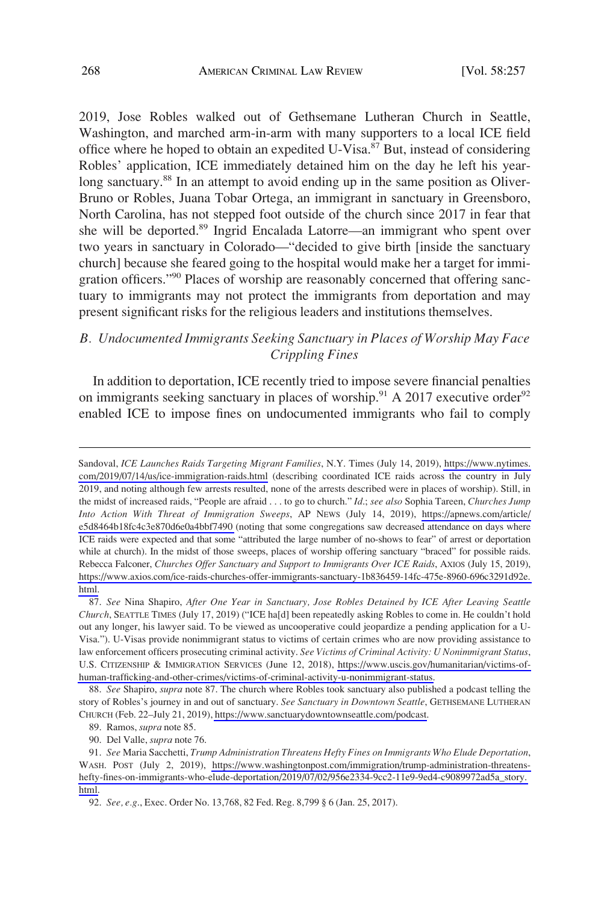<span id="page-11-0"></span>2019, Jose Robles walked out of Gethsemane Lutheran Church in Seattle, Washington, and marched arm-in-arm with many supporters to a local ICE field office where he hoped to obtain an expedited U-Visa. 87 But, instead of considering Robles' application, ICE immediately detained him on the day he left his yearlong sanctuary.<sup>88</sup> In an attempt to avoid ending up in the same position as Oliver-Bruno or Robles, Juana Tobar Ortega, an immigrant in sanctuary in Greensboro, North Carolina, has not stepped foot outside of the church since 2017 in fear that she will be deported.<sup>89</sup> Ingrid Encalada Latorre—an immigrant who spent over two years in sanctuary in Colorado—"decided to give birth [inside the sanctuary church] because she feared going to the hospital would make her a target for immigration officers."90 Places of worship are reasonably concerned that offering sanctuary to immigrants may not protect the immigrants from deportation and may present significant risks for the religious leaders and institutions themselves.

# *B. Undocumented Immigrants Seeking Sanctuary in Places of Worship May Face Crippling Fines*

In addition to deportation, ICE recently tried to impose severe financial penalties on immigrants seeking sanctuary in places of worship.<sup>91</sup> A 2017 executive order<sup>92</sup> enabled ICE to impose fines on undocumented immigrants who fail to comply

Sandoval, *ICE Launches Raids Targeting Migrant Families*, N.Y. Times (July 14, 2019), [https://www.nytimes.](https://www.nytimes.com/2019/07/14/us/ice-immigration-raids.html)  [com/2019/07/14/us/ice-immigration-raids.html](https://www.nytimes.com/2019/07/14/us/ice-immigration-raids.html) (describing coordinated ICE raids across the country in July 2019, and noting although few arrests resulted, none of the arrests described were in places of worship). Still, in the midst of increased raids, "People are afraid . . . to go to church." *Id*.; *see also* Sophia Tareen, *Churches Jump Into Action With Threat of Immigration Sweeps*, AP NEWS (July 14, 2019), [https://apnews.com/article/](https://apnews.com/article/e5d8464b18fc4c3e870d6e0a4bbf7490)  [e5d8464b18fc4c3e870d6e0a4bbf7490](https://apnews.com/article/e5d8464b18fc4c3e870d6e0a4bbf7490) (noting that some congregations saw decreased attendance on days where ICE raids were expected and that some "attributed the large number of no-shows to fear" of arrest or deportation while at church). In the midst of those sweeps, places of worship offering sanctuary "braced" for possible raids. Rebecca Falconer, *Churches Offer Sanctuary and Support to Immigrants Over ICE Raids*, AXIOS (July 15, 2019), [https://www.axios.com/ice-raids-churches-offer-immigrants-sanctuary-1b836459-14fc-475e-8960-696c3291d92e.](https://www.axios.com/ice-raids-churches-offer-immigrants-sanctuary-1b836459-14fc-475e-8960-696c3291d92e.html)  [html](https://www.axios.com/ice-raids-churches-offer-immigrants-sanctuary-1b836459-14fc-475e-8960-696c3291d92e.html) .

*See* Nina Shapiro, *After One Year in Sanctuary, Jose Robles Detained by ICE After Leaving Seattle*  87. *Church*, SEATTLE TIMES (July 17, 2019) ("ICE ha[d] been repeatedly asking Robles to come in. He couldn't hold out any longer, his lawyer said. To be viewed as uncooperative could jeopardize a pending application for a U-Visa."). U-Visas provide nonimmigrant status to victims of certain crimes who are now providing assistance to law enforcement officers prosecuting criminal activity. *See Victims of Criminal Activity: U Nonimmigrant Status*, U.S. CITIZENSHIP & IMMIGRATION SERVICES (June 12, 2018), [https://www.uscis.gov/humanitarian/victims-of](https://www.uscis.gov/humanitarian/victims-of-human-trafficking-and-other-crimes/victims-of-criminal-activity-u-nonimmigrant-status)[human-trafficking-and-other-crimes/victims-of-criminal-activity-u-nonimmigrant-status.](https://www.uscis.gov/humanitarian/victims-of-human-trafficking-and-other-crimes/victims-of-criminal-activity-u-nonimmigrant-status)

*See* Shapiro, *supra* note 87. The church where Robles took sanctuary also published a podcast telling the 88. story of Robles's journey in and out of sanctuary. *See Sanctuary in Downtown Seattle*, GETHSEMANE LUTHERAN CHURCH (Feb. 22–July 21, 2019),<https://www.sanctuarydowntownseattle.com/podcast>.

<sup>89.</sup> Ramos, *supra* note 85.

<sup>90.</sup> Del Valle, *supra* note 76.

*See* Maria Sacchetti, *Trump Administration Threatens Hefty Fines on Immigrants Who Elude Deportation*, 91. WASH. POST (July 2, 2019), [https://www.washingtonpost.com/immigration/trump-administration-threatens](https://www.washingtonpost.com/immigration/trump-administration-threatens-hefty-fines-on-immigrants-who-elude-deportation/2019/07/02/956e2334-9cc2-11e9-9ed4-c9089972ad5a_story.html)[hefty-fines-on-immigrants-who-elude-deportation/2019/07/02/956e2334-9cc2-11e9-9ed4-c9089972ad5a\\_story.](https://www.washingtonpost.com/immigration/trump-administration-threatens-hefty-fines-on-immigrants-who-elude-deportation/2019/07/02/956e2334-9cc2-11e9-9ed4-c9089972ad5a_story.html)  [html.](https://www.washingtonpost.com/immigration/trump-administration-threatens-hefty-fines-on-immigrants-who-elude-deportation/2019/07/02/956e2334-9cc2-11e9-9ed4-c9089972ad5a_story.html)

<sup>92.</sup> *See, e.g*., Exec. Order No. 13,768, 82 Fed. Reg. 8,799 § 6 (Jan. 25, 2017).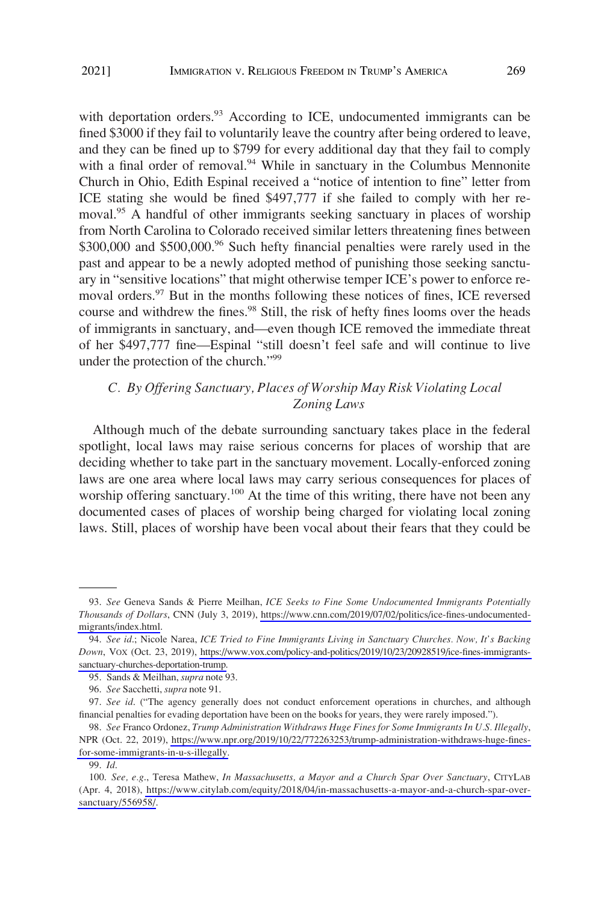<span id="page-12-0"></span>fined \$3000 if they fail to voluntarily leave the country after being ordered to leave, and they can be fined up to \$799 for every additional day that they fail to comply with a final order of removal.<sup>94</sup> While in sanctuary in the Columbus Mennonite Church in Ohio, Edith Espinal received a "notice of intention to fine" letter from ICE stating she would be fined \$497,777 if she failed to comply with her removal.<sup>95</sup> A handful of other immigrants seeking sanctuary in places of worship from North Carolina to Colorado received similar letters threatening fines between  $$300,000$  and  $$500,000$ .<sup>96</sup> Such hefty financial penalties were rarely used in the past and appear to be a newly adopted method of punishing those seeking sanctuary in "sensitive locations" that might otherwise temper ICE's power to enforce removal orders.<sup>97</sup> But in the months following these notices of fines, ICE reversed course and withdrew the fines.<sup>98</sup> Still, the risk of hefty fines looms over the heads of immigrants in sanctuary, and—even though ICE removed the immediate threat of her \$497,777 fine—Espinal "still doesn't feel safe and will continue to live under the protection of the church."99

# *C. By Offering Sanctuary, Places of Worship May Risk Violating Local Zoning Laws*

Although much of the debate surrounding sanctuary takes place in the federal spotlight, local laws may raise serious concerns for places of worship that are deciding whether to take part in the sanctuary movement. Locally-enforced zoning laws are one area where local laws may carry serious consequences for places of worship offering sanctuary.<sup>100</sup> At the time of this writing, there have not been any documented cases of places of worship being charged for violating local zoning laws. Still, places of worship have been vocal about their fears that they could be

*See* Geneva Sands & Pierre Meilhan, *ICE Seeks to Fine Some Undocumented Immigrants Potentially*  93. *Thousands of Dollars*, CNN (July 3, 2019), [https://www.cnn.com/2019/07/02/politics/ice-fines-undocumented](https://www.cnn.com/2019/07/02/politics/ice-fines-undocumented-migrants/index.html)[migrants/index.html.](https://www.cnn.com/2019/07/02/politics/ice-fines-undocumented-migrants/index.html)

*See id*.; Nicole Narea, *ICE Tried to Fine Immigrants Living in Sanctuary Churches. Now, It's Backing*  94. *Down*, VOX (Oct. 23, 2019), [https://www.vox.com/policy-and-politics/2019/10/23/20928519/ice-fines-immigrants](https://www.vox.com/policy-and-politics/2019/10/23/20928519/ice-fines-immigrants-sanctuary-churches-deportation-trump)[sanctuary-churches-deportation-trump.](https://www.vox.com/policy-and-politics/2019/10/23/20928519/ice-fines-immigrants-sanctuary-churches-deportation-trump)

<sup>95.</sup> Sands & Meilhan, *supra* note 93.

<sup>96.</sup> *See* Sacchetti, *supra* note 91.

<sup>97.</sup> *See id*. ("The agency generally does not conduct enforcement operations in churches, and although financial penalties for evading deportation have been on the books for years, they were rarely imposed.").

*See* Franco Ordonez, *Trump Administration Withdraws Huge Fines for Some Immigrants In U.S. Illegally*, 98. NPR (Oct. 22, 2019), [https://www.npr.org/2019/10/22/772263253/trump-administration-withdraws-huge-fines](https://www.npr.org/2019/10/22/772263253/trump-administration-withdraws-huge-fines-for-some-immigrants-in-u-s-illegally)[for-some-immigrants-in-u-s-illegally.](https://www.npr.org/2019/10/22/772263253/trump-administration-withdraws-huge-fines-for-some-immigrants-in-u-s-illegally)

<sup>99.</sup> *Id*.

*See, e.g*., Teresa Mathew, *In Massachusetts, a Mayor and a Church Spar Over Sanctuary*, CITYLAB 100. (Apr. 4, 2018), [https://www.citylab.com/equity/2018/04/in-massachusetts-a-mayor-and-a-church-spar-over](https://www.citylab.com/equity/2018/04/in-massachusetts-a-mayor-and-a-church-spar-over-sanctuary/556958/)[sanctuary/556958/](https://www.citylab.com/equity/2018/04/in-massachusetts-a-mayor-and-a-church-spar-over-sanctuary/556958/).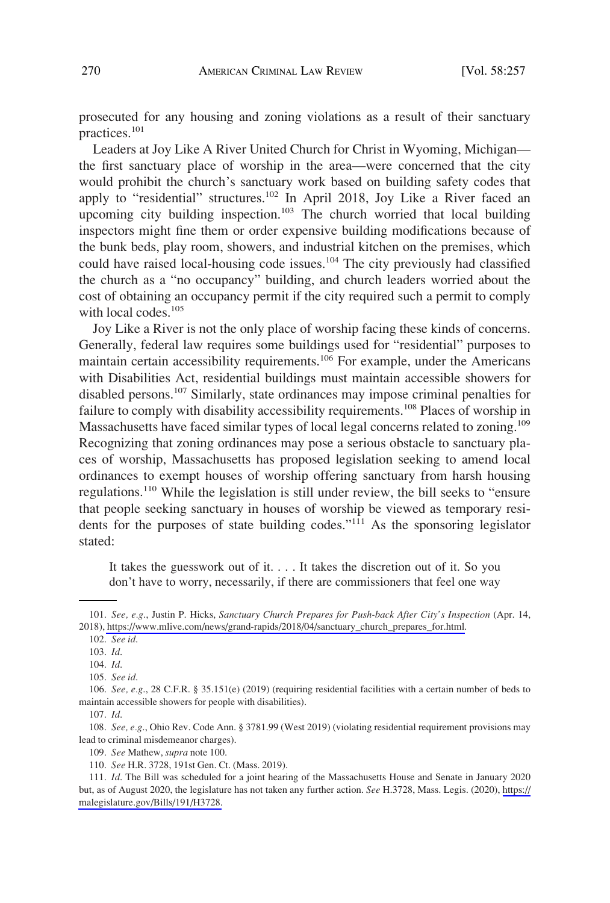prosecuted for any housing and zoning violations as a result of their sanctuary practices.<sup>101</sup>

Leaders at Joy Like A River United Church for Christ in Wyoming, Michigan the first sanctuary place of worship in the area—were concerned that the city would prohibit the church's sanctuary work based on building safety codes that apply to "residential" structures.<sup>102</sup> In April 2018, Joy Like a River faced an upcoming city building inspection.<sup>103</sup> The church worried that local building inspectors might fine them or order expensive building modifications because of the bunk beds, play room, showers, and industrial kitchen on the premises, which could have raised local-housing code issues.<sup>104</sup> The city previously had classified the church as a "no occupancy" building, and church leaders worried about the cost of obtaining an occupancy permit if the city required such a permit to comply with local codes.<sup>105</sup>

Joy Like a River is not the only place of worship facing these kinds of concerns. Generally, federal law requires some buildings used for "residential" purposes to maintain certain accessibility requirements.106 For example, under the Americans with Disabilities Act, residential buildings must maintain accessible showers for disabled persons.107 Similarly, state ordinances may impose criminal penalties for failure to comply with disability accessibility requirements.<sup>108</sup> Places of worship in Massachusetts have faced similar types of local legal concerns related to zoning.<sup>109</sup> Recognizing that zoning ordinances may pose a serious obstacle to sanctuary places of worship, Massachusetts has proposed legislation seeking to amend local ordinances to exempt houses of worship offering sanctuary from harsh housing regulations.110 While the legislation is still under review, the bill seeks to "ensure that people seeking sanctuary in houses of worship be viewed as temporary residents for the purposes of state building codes."<sup>111</sup> As the sponsoring legislator stated:

It takes the guesswork out of it. . . . It takes the discretion out of it. So you don't have to worry, necessarily, if there are commissioners that feel one way

107. *Id*.

108. *See, e.g*., Ohio Rev. Code Ann. § 3781.99 (West 2019) (violating residential requirement provisions may lead to criminal misdemeanor charges).

<sup>101.</sup> See, e.g., Justin P. Hicks, *Sanctuary Church Prepares for Push-back After City's Inspection* (Apr. 14, 2018), [https://www.mlive.com/news/grand-rapids/2018/04/sanctuary\\_church\\_prepares\\_for.html](https://www.mlive.com/news/grand-rapids/2018/04/sanctuary_church_prepares_for.html).

<sup>102.</sup> *See id*.

<sup>103.</sup> *Id*.

<sup>104.</sup> *Id*.

<sup>105.</sup> *See id*.

<sup>106.</sup> *See, e.g*., 28 C.F.R. § 35.151(e) (2019) (requiring residential facilities with a certain number of beds to maintain accessible showers for people with disabilities).

<sup>109.</sup> *See* Mathew, *supra* note 100.

<sup>110.</sup> *See* H.R. 3728, 191st Gen. Ct. (Mass. 2019).

<sup>111.</sup> *Id*. The Bill was scheduled for a joint hearing of the Massachusetts House and Senate in January 2020 but, as of August 2020, the legislature has not taken any further action. *See* H.3728, Mass. Legis. (2020), [https://](https://malegislature.gov/Bills/191/H3728)  [malegislature.gov/Bills/191/H3728.](https://malegislature.gov/Bills/191/H3728)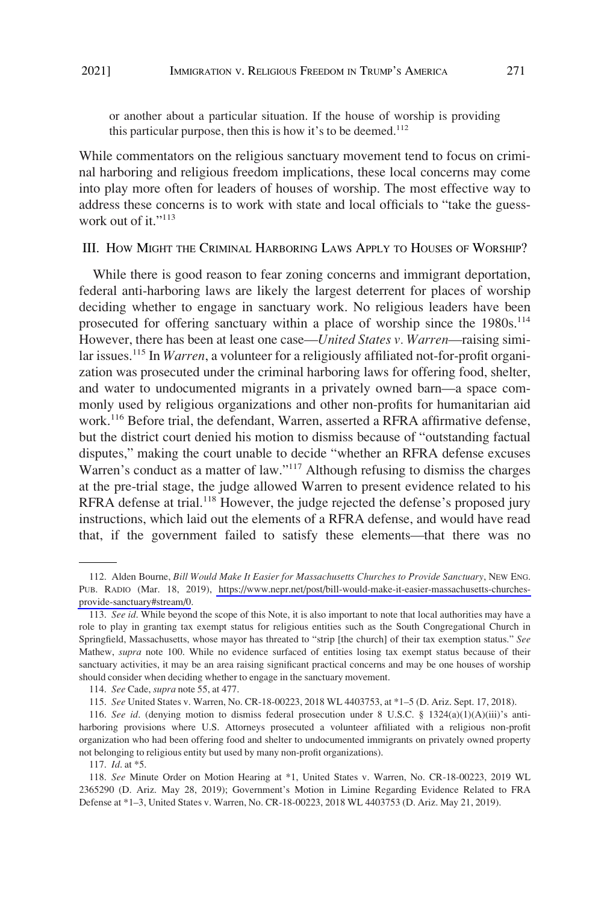<span id="page-14-0"></span>or another about a particular situation. If the house of worship is providing this particular purpose, then this is how it's to be deemed.<sup>112</sup>

While commentators on the religious sanctuary movement tend to focus on criminal harboring and religious freedom implications, these local concerns may come into play more often for leaders of houses of worship. The most effective way to address these concerns is to work with state and local officials to "take the guesswork out of it."<sup>113</sup>

III. HOW MIGHT THE CRIMINAL HARBORING LAWS APPLY TO HOUSES OF WORSHIP?

While there is good reason to fear zoning concerns and immigrant deportation, federal anti-harboring laws are likely the largest deterrent for places of worship deciding whether to engage in sanctuary work. No religious leaders have been prosecuted for offering sanctuary within a place of worship since the 1980s.<sup>114</sup> However, there has been at least one case—*United States v. Warren*—raising similar issues.115 In *Warren*, a volunteer for a religiously affiliated not-for-profit organization was prosecuted under the criminal harboring laws for offering food, shelter, and water to undocumented migrants in a privately owned barn—a space commonly used by religious organizations and other non-profits for humanitarian aid work.<sup>116</sup> Before trial, the defendant, Warren, asserted a RFRA affirmative defense, but the district court denied his motion to dismiss because of "outstanding factual disputes," making the court unable to decide "whether an RFRA defense excuses Warren's conduct as a matter of law."<sup>117</sup> Although refusing to dismiss the charges at the pre-trial stage, the judge allowed Warren to present evidence related to his RFRA defense at trial.<sup>118</sup> However, the judge rejected the defense's proposed jury instructions, which laid out the elements of a RFRA defense, and would have read that, if the government failed to satisfy these elements—that there was no

117. *Id*. at \*5.

<sup>112.</sup> Alden Bourne, *Bill Would Make It Easier for Massachusetts Churches to Provide Sanctuary*, NEW ENG. PUB. RADIO (Mar. 18, 2019), [https://www.nepr.net/post/bill-would-make-it-easier-massachusetts-churches](https://www.nepr.net/post/bill-would-make-it-easier-massachusetts-churches-provide-sanctuary#stream/0)[provide-sanctuary#stream/0](https://www.nepr.net/post/bill-would-make-it-easier-massachusetts-churches-provide-sanctuary#stream/0).

<sup>113.</sup> *See id*. While beyond the scope of this Note, it is also important to note that local authorities may have a role to play in granting tax exempt status for religious entities such as the South Congregational Church in Springfield, Massachusetts, whose mayor has threated to "strip [the church] of their tax exemption status." *See*  Mathew, *supra* note 100. While no evidence surfaced of entities losing tax exempt status because of their sanctuary activities, it may be an area raising significant practical concerns and may be one houses of worship should consider when deciding whether to engage in the sanctuary movement.

<sup>114.</sup> *See* Cade, *supra* note 55, at 477.

<sup>115.</sup> *See* United States v. Warren, No. CR-18-00223, 2018 WL 4403753, at \*1–5 (D. Ariz. Sept. 17, 2018).

<sup>116.</sup> *See id*. (denying motion to dismiss federal prosecution under 8 U.S.C. § 1324(a)(1)(A)(iii)'s antiharboring provisions where U.S. Attorneys prosecuted a volunteer affiliated with a religious non-profit organization who had been offering food and shelter to undocumented immigrants on privately owned property not belonging to religious entity but used by many non-profit organizations).

<sup>118.</sup> *See* Minute Order on Motion Hearing at \*1, United States v. Warren, No. CR-18-00223, 2019 WL 2365290 (D. Ariz. May 28, 2019); Government's Motion in Limine Regarding Evidence Related to FRA Defense at \*1–3, United States v. Warren, No. CR-18-00223, 2018 WL 4403753 (D. Ariz. May 21, 2019).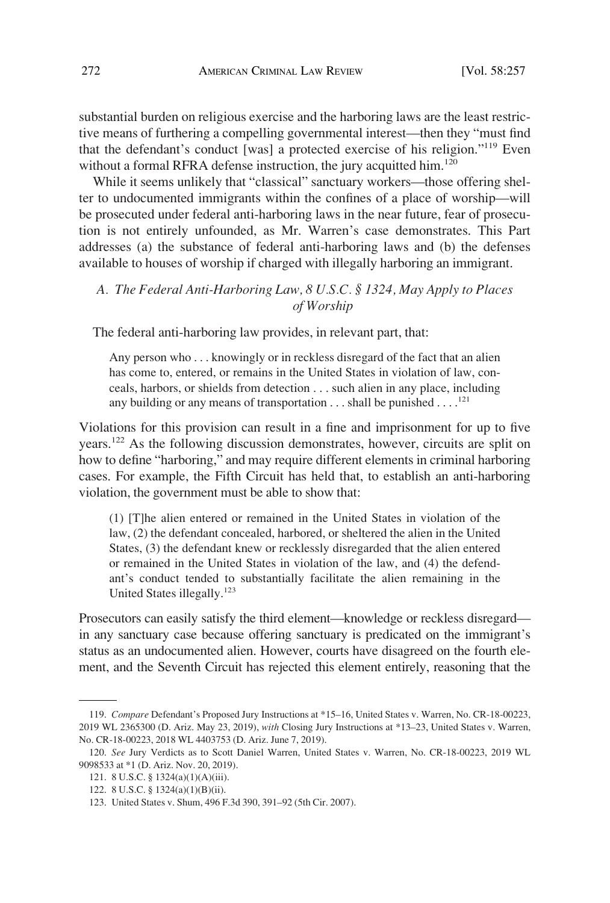<span id="page-15-0"></span>substantial burden on religious exercise and the harboring laws are the least restrictive means of furthering a compelling governmental interest—then they "must find that the defendant's conduct [was] a protected exercise of his religion."119 Even without a formal RFRA defense instruction, the jury acquitted him.<sup>120</sup>

While it seems unlikely that "classical" sanctuary workers—those offering shelter to undocumented immigrants within the confines of a place of worship—will be prosecuted under federal anti-harboring laws in the near future, fear of prosecution is not entirely unfounded, as Mr. Warren's case demonstrates. This Part addresses (a) the substance of federal anti-harboring laws and (b) the defenses available to houses of worship if charged with illegally harboring an immigrant.

## *A. The Federal Anti-Harboring Law, 8 U.S.C. § 1324, May Apply to Places of Worship*

The federal anti-harboring law provides, in relevant part, that:

Any person who . . . knowingly or in reckless disregard of the fact that an alien has come to, entered, or remains in the United States in violation of law, conceals, harbors, or shields from detection . . . such alien in any place, including any building or any means of transportation  $\dots$  shall be punished  $\dots$ .<sup>121</sup>

Violations for this provision can result in a fine and imprisonment for up to five years.122 As the following discussion demonstrates, however, circuits are split on how to define "harboring," and may require different elements in criminal harboring cases. For example, the Fifth Circuit has held that, to establish an anti-harboring violation, the government must be able to show that:

(1) [T]he alien entered or remained in the United States in violation of the law, (2) the defendant concealed, harbored, or sheltered the alien in the United States, (3) the defendant knew or recklessly disregarded that the alien entered or remained in the United States in violation of the law, and (4) the defendant's conduct tended to substantially facilitate the alien remaining in the United States illegally.<sup>123</sup>

Prosecutors can easily satisfy the third element—knowledge or reckless disregard in any sanctuary case because offering sanctuary is predicated on the immigrant's status as an undocumented alien. However, courts have disagreed on the fourth element, and the Seventh Circuit has rejected this element entirely, reasoning that the

<sup>119.</sup> *Compare* Defendant's Proposed Jury Instructions at \*15–16, United States v. Warren, No. CR-18-00223, 2019 WL 2365300 (D. Ariz. May 23, 2019), *with* Closing Jury Instructions at \*13–23, United States v. Warren, No. CR-18-00223, 2018 WL 4403753 (D. Ariz. June 7, 2019).

<sup>120.</sup> *See* Jury Verdicts as to Scott Daniel Warren, United States v. Warren, No. CR-18-00223, 2019 WL 9098533 at \*1 (D. Ariz. Nov. 20, 2019).

<sup>121. 8</sup> U.S.C. § 1324(a)(1)(A)(iii).

<sup>122. 8</sup> U.S.C. § 1324(a)(1)(B)(ii).

<sup>123.</sup> United States v. Shum, 496 F.3d 390, 391–92 (5th Cir. 2007).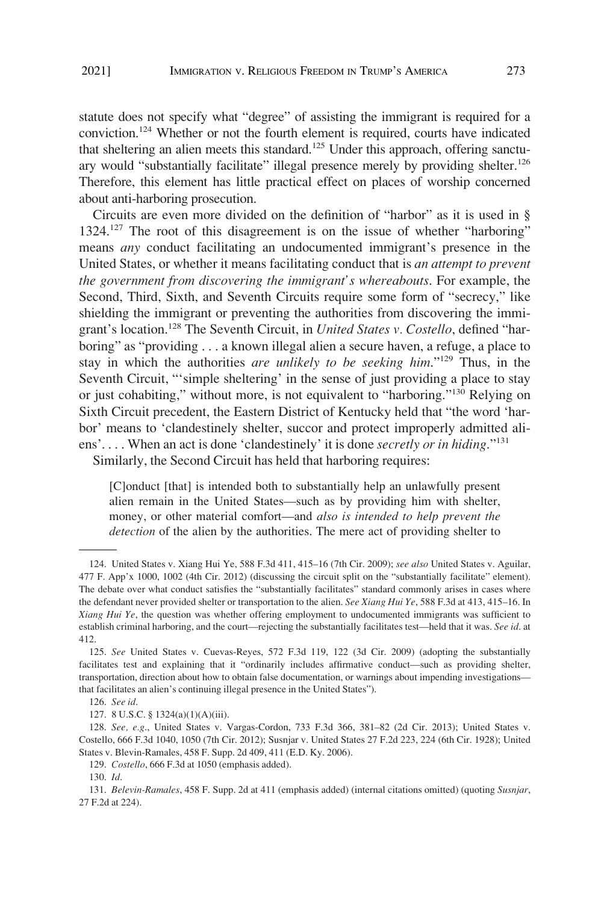statute does not specify what "degree" of assisting the immigrant is required for a conviction.124 Whether or not the fourth element is required, courts have indicated that sheltering an alien meets this standard.<sup>125</sup> Under this approach, offering sanctuary would "substantially facilitate" illegal presence merely by providing shelter.<sup>126</sup> Therefore, this element has little practical effect on places of worship concerned about anti-harboring prosecution.

Circuits are even more divided on the definition of "harbor" as it is used in § 1324.<sup>127</sup> The root of this disagreement is on the issue of whether "harboring" means *any* conduct facilitating an undocumented immigrant's presence in the United States, or whether it means facilitating conduct that is *an attempt to prevent the government from discovering the immigrant's whereabouts*. For example, the Second, Third, Sixth, and Seventh Circuits require some form of "secrecy," like shielding the immigrant or preventing the authorities from discovering the immigrant's location.128 The Seventh Circuit, in *United States v. Costello*, defined "harboring" as "providing . . . a known illegal alien a secure haven, a refuge, a place to stay in which the authorities *are unlikely to be seeking him*."129 Thus, in the Seventh Circuit, "'simple sheltering' in the sense of just providing a place to stay or just cohabiting," without more, is not equivalent to "harboring."<sup>130</sup> Relying on Sixth Circuit precedent, the Eastern District of Kentucky held that "the word 'harbor' means to 'clandestinely shelter, succor and protect improperly admitted aliens'. . . . When an act is done 'clandestinely' it is done *secretly or in hiding*."131 Similarly, the Second Circuit has held that harboring requires:

[C]onduct [that] is intended both to substantially help an unlawfully present alien remain in the United States—such as by providing him with shelter, money, or other material comfort—and *also is intended to help prevent the detection* of the alien by the authorities. The mere act of providing shelter to

<sup>124.</sup> United States v. Xiang Hui Ye, 588 F.3d 411, 415–16 (7th Cir. 2009); *see also* United States v. Aguilar, 477 F. App'x 1000, 1002 (4th Cir. 2012) (discussing the circuit split on the "substantially facilitate" element). The debate over what conduct satisfies the "substantially facilitates" standard commonly arises in cases where the defendant never provided shelter or transportation to the alien. *See Xiang Hui Ye*, 588 F.3d at 413, 415–16. In *Xiang Hui Ye*, the question was whether offering employment to undocumented immigrants was sufficient to establish criminal harboring, and the court—rejecting the substantially facilitates test—held that it was. *See id*. at 412.

<sup>125.</sup> *See* United States v. Cuevas-Reyes, 572 F.3d 119, 122 (3d Cir. 2009) (adopting the substantially facilitates test and explaining that it "ordinarily includes affirmative conduct—such as providing shelter, transportation, direction about how to obtain false documentation, or warnings about impending investigations that facilitates an alien's continuing illegal presence in the United States").

<sup>126.</sup> *See id*.

<sup>127. 8</sup> U.S.C. § 1324(a)(1)(A)(iii).

<sup>128.</sup> *See, e.g*., United States v. Vargas-Cordon, 733 F.3d 366, 381–82 (2d Cir. 2013); United States v. Costello, 666 F.3d 1040, 1050 (7th Cir. 2012); Susnjar v. United States 27 F.2d 223, 224 (6th Cir. 1928); United States v. Blevin-Ramales, 458 F. Supp. 2d 409, 411 (E.D. Ky. 2006).

<sup>129.</sup> *Costello*, 666 F.3d at 1050 (emphasis added).

<sup>130.</sup> *Id*.

<sup>131.</sup> *Belevin-Ramales*, 458 F. Supp. 2d at 411 (emphasis added) (internal citations omitted) (quoting *Susnjar*, 27 F.2d at 224).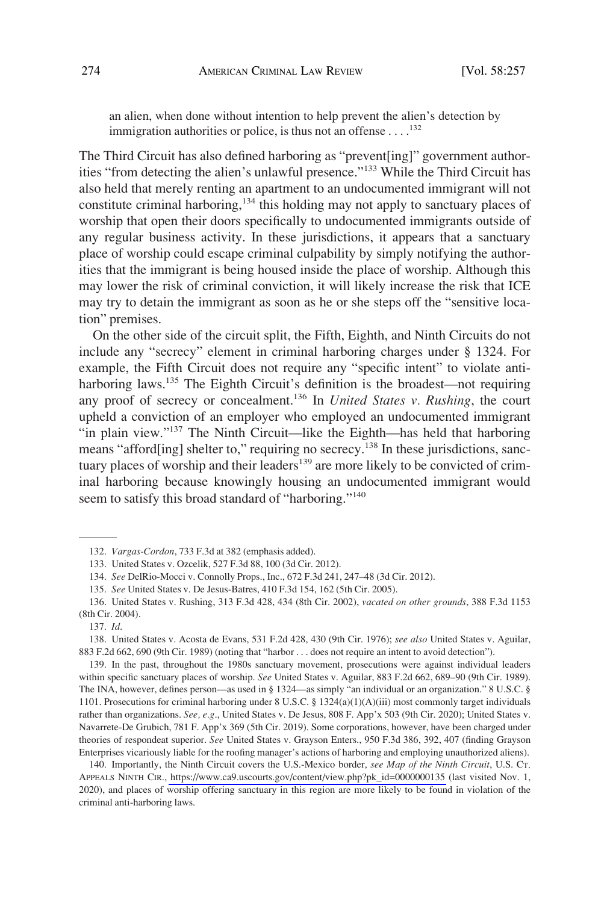an alien, when done without intention to help prevent the alien's detection by immigration authorities or police, is thus not an offense  $\dots$ . <sup>132</sup>

The Third Circuit has also defined harboring as "prevent[ing]" government authorities "from detecting the alien's unlawful presence."133 While the Third Circuit has also held that merely renting an apartment to an undocumented immigrant will not constitute criminal harboring,<sup>134</sup> this holding may not apply to sanctuary places of worship that open their doors specifically to undocumented immigrants outside of any regular business activity. In these jurisdictions, it appears that a sanctuary place of worship could escape criminal culpability by simply notifying the authorities that the immigrant is being housed inside the place of worship. Although this may lower the risk of criminal conviction, it will likely increase the risk that ICE may try to detain the immigrant as soon as he or she steps off the "sensitive location" premises.

On the other side of the circuit split, the Fifth, Eighth, and Ninth Circuits do not include any "secrecy" element in criminal harboring charges under § 1324. For example, the Fifth Circuit does not require any "specific intent" to violate antiharboring laws.<sup>135</sup> The Eighth Circuit's definition is the broadest—not requiring any proof of secrecy or concealment.136 In *United States v. Rushing*, the court upheld a conviction of an employer who employed an undocumented immigrant "in plain view."137 The Ninth Circuit—like the Eighth—has held that harboring means "afford[ing] shelter to," requiring no secrecy.<sup>138</sup> In these jurisdictions, sanctuary places of worship and their leaders<sup>139</sup> are more likely to be convicted of criminal harboring because knowingly housing an undocumented immigrant would seem to satisfy this broad standard of "harboring."<sup>140</sup>

139. In the past, throughout the 1980s sanctuary movement, prosecutions were against individual leaders within specific sanctuary places of worship. *See* United States v. Aguilar, 883 F.2d 662, 689–90 (9th Cir. 1989). The INA, however, defines person—as used in § 1324—as simply "an individual or an organization." 8 U.S.C. § 1101. Prosecutions for criminal harboring under 8 U.S.C. § 1324(a)(1)(A)(iii) most commonly target individuals rather than organizations. *See, e.g*., United States v. De Jesus, 808 F. App'x 503 (9th Cir. 2020); United States v. Navarrete-De Grubich, 781 F. App'x 369 (5th Cir. 2019). Some corporations, however, have been charged under theories of respondeat superior. *See* United States v. Grayson Enters., 950 F.3d 386, 392, 407 (finding Grayson Enterprises vicariously liable for the roofing manager's actions of harboring and employing unauthorized aliens).

140. Importantly, the Ninth Circuit covers the U.S.-Mexico border, *see Map of the Ninth Circuit*, U.S. CT. APPEALS NINTH CIR., [https://www.ca9.uscourts.gov/content/view.php?pk\\_id=0000000135](https://www.ca9.uscourts.gov/content/view.php?pk_id=0000000135) (last visited Nov. 1, 2020), and places of worship offering sanctuary in this region are more likely to be found in violation of the criminal anti-harboring laws.

<sup>132.</sup> *Vargas-Cordon*, 733 F.3d at 382 (emphasis added).

<sup>133.</sup> United States v. Ozcelik, 527 F.3d 88, 100 (3d Cir. 2012).

<sup>134.</sup> *See* DelRio-Mocci v. Connolly Props., Inc., 672 F.3d 241, 247–48 (3d Cir. 2012).

<sup>135.</sup> *See* United States v. De Jesus-Batres, 410 F.3d 154, 162 (5th Cir. 2005).

<sup>136.</sup> United States v. Rushing, 313 F.3d 428, 434 (8th Cir. 2002), *vacated on other grounds*, 388 F.3d 1153 (8th Cir. 2004).

<sup>137.</sup> *Id*.

<sup>138.</sup> United States v. Acosta de Evans, 531 F.2d 428, 430 (9th Cir. 1976); *see also* United States v. Aguilar, 883 F.2d 662, 690 (9th Cir. 1989) (noting that "harbor . . . does not require an intent to avoid detection").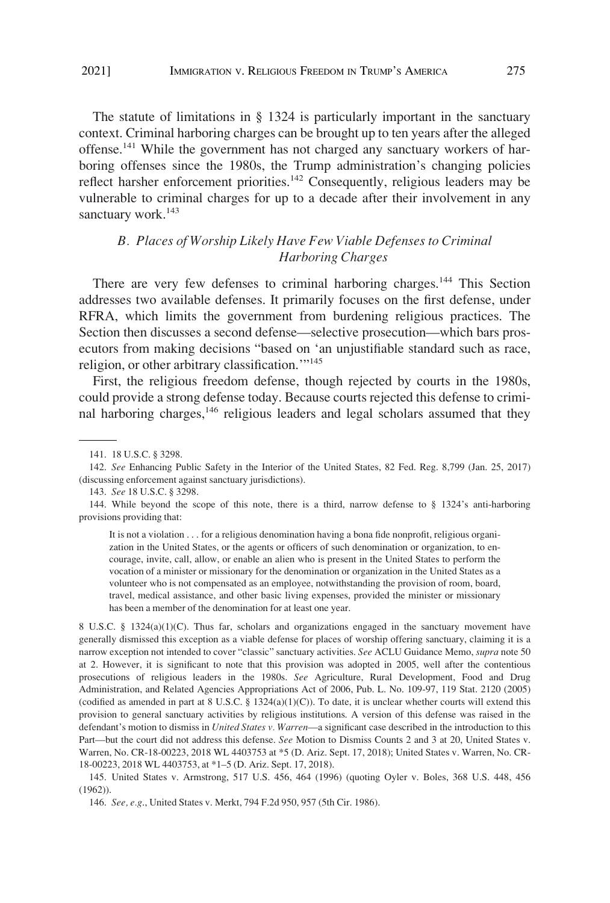<span id="page-18-0"></span>The statute of limitations in § 1324 is particularly important in the sanctuary context. Criminal harboring charges can be brought up to ten years after the alleged offense.<sup>141</sup> While the government has not charged any sanctuary workers of harboring offenses since the 1980s, the Trump administration's changing policies reflect harsher enforcement priorities.<sup>142</sup> Consequently, religious leaders may be vulnerable to criminal charges for up to a decade after their involvement in any sanctuary work.<sup>143</sup>

# *B. Places of Worship Likely Have Few Viable Defenses to Criminal Harboring Charges*

There are very few defenses to criminal harboring charges.<sup>144</sup> This Section addresses two available defenses. It primarily focuses on the first defense, under RFRA, which limits the government from burdening religious practices. The Section then discusses a second defense—selective prosecution—which bars prosecutors from making decisions "based on 'an unjustifiable standard such as race, religion, or other arbitrary classification.'"145

First, the religious freedom defense, though rejected by courts in the 1980s, could provide a strong defense today. Because courts rejected this defense to criminal harboring charges,<sup>146</sup> religious leaders and legal scholars assumed that they

It is not a violation . . . for a religious denomination having a bona fide nonprofit, religious organization in the United States, or the agents or officers of such denomination or organization, to encourage, invite, call, allow, or enable an alien who is present in the United States to perform the vocation of a minister or missionary for the denomination or organization in the United States as a volunteer who is not compensated as an employee, notwithstanding the provision of room, board, travel, medical assistance, and other basic living expenses, provided the minister or missionary has been a member of the denomination for at least one year.

8 U.S.C. § 1324(a)(1)(C). Thus far, scholars and organizations engaged in the sanctuary movement have generally dismissed this exception as a viable defense for places of worship offering sanctuary, claiming it is a narrow exception not intended to cover "classic" sanctuary activities. *See* ACLU Guidance Memo, *supra* note 50 at 2. However, it is significant to note that this provision was adopted in 2005, well after the contentious prosecutions of religious leaders in the 1980s. *See* Agriculture, Rural Development, Food and Drug Administration, and Related Agencies Appropriations Act of 2006, Pub. L. No. 109-97, 119 Stat. 2120 (2005) (codified as amended in part at 8 U.S.C. § 1324(a)(1)(C)). To date, it is unclear whether courts will extend this provision to general sanctuary activities by religious institutions. A version of this defense was raised in the defendant's motion to dismiss in *United States v. Warren*—a significant case described in the introduction to this Part—but the court did not address this defense. *See* Motion to Dismiss Counts 2 and 3 at 20, United States v. Warren, No. CR-18-00223, 2018 WL 4403753 at \*5 (D. Ariz. Sept. 17, 2018); United States v. Warren, No. CR-18-00223, 2018 WL 4403753, at \*1–5 (D. Ariz. Sept. 17, 2018).

145. United States v. Armstrong, 517 U.S. 456, 464 (1996) (quoting Oyler v. Boles, 368 U.S. 448, 456 (1962)).

<sup>141. 18</sup> U.S.C. § 3298.

<sup>142.</sup> *See* Enhancing Public Safety in the Interior of the United States, 82 Fed. Reg. 8,799 (Jan. 25, 2017) (discussing enforcement against sanctuary jurisdictions).

<sup>143.</sup> *See* 18 U.S.C. § 3298.

<sup>144.</sup> While beyond the scope of this note, there is a third, narrow defense to § 1324's anti-harboring provisions providing that:

<sup>146.</sup> *See, e.g*., United States v. Merkt, 794 F.2d 950, 957 (5th Cir. 1986).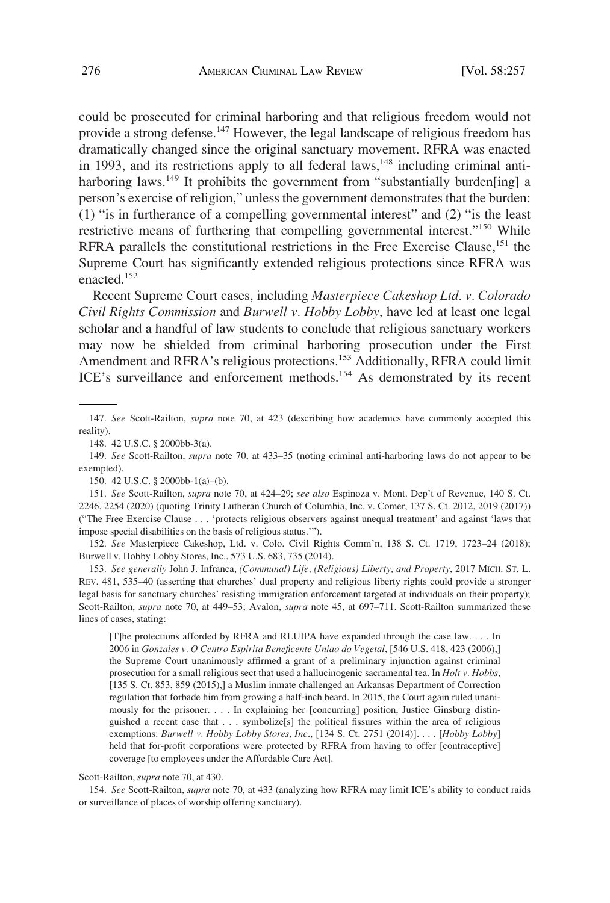could be prosecuted for criminal harboring and that religious freedom would not provide a strong defense.<sup>147</sup> However, the legal landscape of religious freedom has dramatically changed since the original sanctuary movement. RFRA was enacted in 1993, and its restrictions apply to all federal laws, $148$  including criminal antiharboring laws.<sup>149</sup> It prohibits the government from "substantially burden[ing] a person's exercise of religion," unless the government demonstrates that the burden: (1) "is in furtherance of a compelling governmental interest" and (2) "is the least restrictive means of furthering that compelling governmental interest."150 While RFRA parallels the constitutional restrictions in the Free Exercise Clause,<sup>151</sup> the Supreme Court has significantly extended religious protections since RFRA was enacted.<sup>152</sup>

Recent Supreme Court cases, including *Masterpiece Cakeshop Ltd. v. Colorado Civil Rights Commission* and *Burwell v. Hobby Lobby*, have led at least one legal scholar and a handful of law students to conclude that religious sanctuary workers may now be shielded from criminal harboring prosecution under the First Amendment and RFRA's religious protections.<sup>153</sup> Additionally, RFRA could limit ICE's surveillance and enforcement methods.<sup>154</sup> As demonstrated by its recent

150. 42 U.S.C. § 2000bb-1(a)–(b).

151. *See* Scott-Railton, *supra* note 70, at 424–29; *see also* Espinoza v. Mont. Dep't of Revenue, 140 S. Ct. 2246, 2254 (2020) (quoting Trinity Lutheran Church of Columbia, Inc. v. Comer, 137 S. Ct. 2012, 2019 (2017)) ("The Free Exercise Clause . . . 'protects religious observers against unequal treatment' and against 'laws that impose special disabilities on the basis of religious status.'").

152. *See* Masterpiece Cakeshop, Ltd. v. Colo. Civil Rights Comm'n, 138 S. Ct. 1719, 1723–24 (2018); Burwell v. Hobby Lobby Stores, Inc., 573 U.S. 683, 735 (2014).

153. *See generally* John J. Infranca, *(Communal) Life, (Religious) Liberty, and Property*, 2017 MICH. ST. L. REV. 481, 535–40 (asserting that churches' dual property and religious liberty rights could provide a stronger legal basis for sanctuary churches' resisting immigration enforcement targeted at individuals on their property); Scott-Railton, *supra* note 70, at 449–53; Avalon, *supra* note 45, at 697–711. Scott-Railton summarized these lines of cases, stating:

[T]he protections afforded by RFRA and RLUIPA have expanded through the case law. . . . In 2006 in *Gonzales v. O Centro Espirita Beneficente Uniao do Vegetal*, [546 U.S. 418, 423 (2006),] the Supreme Court unanimously affirmed a grant of a preliminary injunction against criminal prosecution for a small religious sect that used a hallucinogenic sacramental tea. In *Holt v. Hobbs*, [135 S. Ct. 853, 859 (2015),] a Muslim inmate challenged an Arkansas Department of Correction regulation that forbade him from growing a half-inch beard. In 2015, the Court again ruled unanimously for the prisoner. . . . In explaining her [concurring] position, Justice Ginsburg distinguished a recent case that  $\ldots$  symbolize[s] the political fissures within the area of religious exemptions: *Burwell v. Hobby Lobby Stores, Inc*., [134 S. Ct. 2751 (2014)]. . . . [*Hobby Lobby*] held that for-profit corporations were protected by RFRA from having to offer [contraceptive] coverage [to employees under the Affordable Care Act].

Scott-Railton, *supra* note 70, at 430.

154. *See* Scott-Railton, *supra* note 70, at 433 (analyzing how RFRA may limit ICE's ability to conduct raids or surveillance of places of worship offering sanctuary).

<sup>147.</sup> *See* Scott-Railton, *supra* note 70, at 423 (describing how academics have commonly accepted this reality).

<sup>148. 42</sup> U.S.C. § 2000bb-3(a).

<sup>149.</sup> *See* Scott-Railton, *supra* note 70, at 433–35 (noting criminal anti-harboring laws do not appear to be exempted).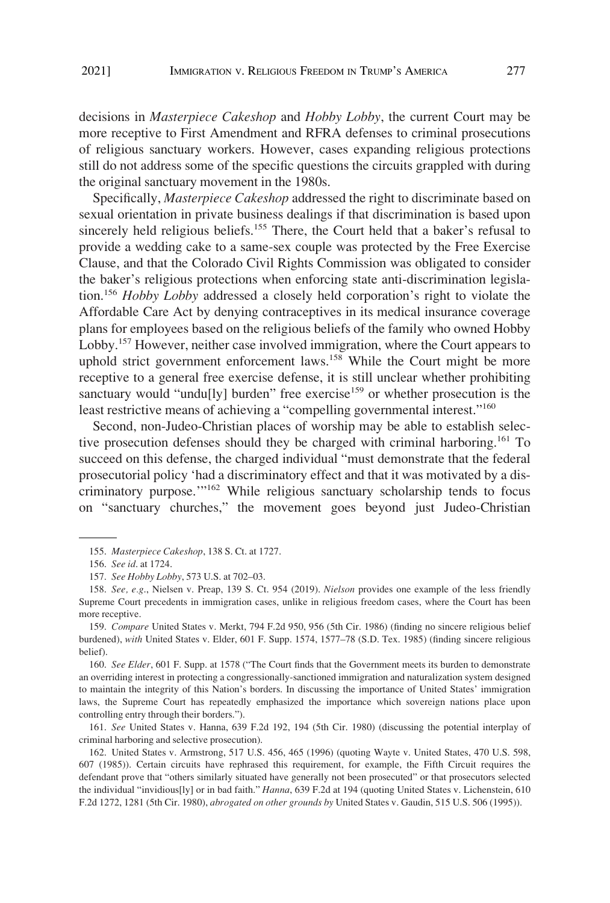decisions in *Masterpiece Cakeshop* and *Hobby Lobby*, the current Court may be more receptive to First Amendment and RFRA defenses to criminal prosecutions of religious sanctuary workers. However, cases expanding religious protections still do not address some of the specific questions the circuits grappled with during the original sanctuary movement in the 1980s.

Specifically, *Masterpiece Cakeshop* addressed the right to discriminate based on sexual orientation in private business dealings if that discrimination is based upon sincerely held religious beliefs.<sup>155</sup> There, the Court held that a baker's refusal to provide a wedding cake to a same-sex couple was protected by the Free Exercise Clause, and that the Colorado Civil Rights Commission was obligated to consider the baker's religious protections when enforcing state anti-discrimination legislation.156 *Hobby Lobby* addressed a closely held corporation's right to violate the Affordable Care Act by denying contraceptives in its medical insurance coverage plans for employees based on the religious beliefs of the family who owned Hobby Lobby.<sup>157</sup> However, neither case involved immigration, where the Court appears to uphold strict government enforcement laws.<sup>158</sup> While the Court might be more receptive to a general free exercise defense, it is still unclear whether prohibiting sanctuary would "undu[ly] burden" free exercise<sup>159</sup> or whether prosecution is the least restrictive means of achieving a "compelling governmental interest."<sup>160</sup>

Second, non-Judeo-Christian places of worship may be able to establish selective prosecution defenses should they be charged with criminal harboring.<sup>161</sup> To succeed on this defense, the charged individual "must demonstrate that the federal prosecutorial policy 'had a discriminatory effect and that it was motivated by a discriminatory purpose.'"162 While religious sanctuary scholarship tends to focus on "sanctuary churches," the movement goes beyond just Judeo-Christian

160. *See Elder*, 601 F. Supp. at 1578 ("The Court finds that the Government meets its burden to demonstrate an overriding interest in protecting a congressionally-sanctioned immigration and naturalization system designed to maintain the integrity of this Nation's borders. In discussing the importance of United States' immigration laws, the Supreme Court has repeatedly emphasized the importance which sovereign nations place upon controlling entry through their borders.").

161. *See* United States v. Hanna, 639 F.2d 192, 194 (5th Cir. 1980) (discussing the potential interplay of criminal harboring and selective prosecution).

162. United States v. Armstrong, 517 U.S. 456, 465 (1996) (quoting Wayte v. United States, 470 U.S. 598, 607 (1985)). Certain circuits have rephrased this requirement, for example, the Fifth Circuit requires the defendant prove that "others similarly situated have generally not been prosecuted" or that prosecutors selected the individual "invidious[ly] or in bad faith." *Hanna*, 639 F.2d at 194 (quoting United States v. Lichenstein, 610 F.2d 1272, 1281 (5th Cir. 1980), *abrogated on other grounds by* United States v. Gaudin, 515 U.S. 506 (1995)).

<sup>155.</sup> *Masterpiece Cakeshop*, 138 S. Ct. at 1727.

<sup>156.</sup> *See id*. at 1724.

<sup>157.</sup> *See Hobby Lobby*, 573 U.S. at 702–03.

<sup>158.</sup> *See, e.g*., Nielsen v. Preap, 139 S. Ct. 954 (2019). *Nielson* provides one example of the less friendly Supreme Court precedents in immigration cases, unlike in religious freedom cases, where the Court has been more receptive.

<sup>159.</sup> *Compare* United States v. Merkt, 794 F.2d 950, 956 (5th Cir. 1986) (finding no sincere religious belief burdened), *with* United States v. Elder, 601 F. Supp. 1574, 1577–78 (S.D. Tex. 1985) (finding sincere religious belief).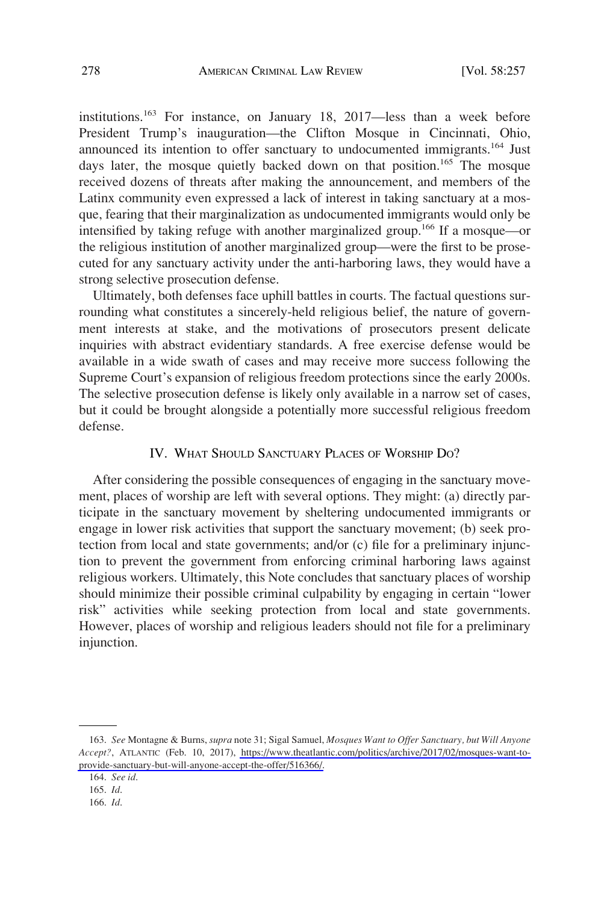<span id="page-21-0"></span>institutions.163 For instance, on January 18, 2017—less than a week before President Trump's inauguration—the Clifton Mosque in Cincinnati, Ohio, announced its intention to offer sanctuary to undocumented immigrants.<sup>164</sup> Just days later, the mosque quietly backed down on that position.<sup>165</sup> The mosque received dozens of threats after making the announcement, and members of the Latinx community even expressed a lack of interest in taking sanctuary at a mosque, fearing that their marginalization as undocumented immigrants would only be intensified by taking refuge with another marginalized group.<sup>166</sup> If a mosque—or the religious institution of another marginalized group—were the first to be prosecuted for any sanctuary activity under the anti-harboring laws, they would have a strong selective prosecution defense.

Ultimately, both defenses face uphill battles in courts. The factual questions surrounding what constitutes a sincerely-held religious belief, the nature of government interests at stake, and the motivations of prosecutors present delicate inquiries with abstract evidentiary standards. A free exercise defense would be available in a wide swath of cases and may receive more success following the Supreme Court's expansion of religious freedom protections since the early 2000s. The selective prosecution defense is likely only available in a narrow set of cases, but it could be brought alongside a potentially more successful religious freedom defense.

### IV. WHAT SHOULD SANCTUARY PLACES OF WORSHIP DO?

After considering the possible consequences of engaging in the sanctuary movement, places of worship are left with several options. They might: (a) directly participate in the sanctuary movement by sheltering undocumented immigrants or engage in lower risk activities that support the sanctuary movement; (b) seek protection from local and state governments; and/or (c) file for a preliminary injunction to prevent the government from enforcing criminal harboring laws against religious workers. Ultimately, this Note concludes that sanctuary places of worship should minimize their possible criminal culpability by engaging in certain "lower risk" activities while seeking protection from local and state governments. However, places of worship and religious leaders should not file for a preliminary injunction.

*See* Montagne & Burns, *supra* note 31; Sigal Samuel, *Mosques Want to Offer Sanctuary, but Will Anyone*  163. *Accept?*, ATLANTIC (Feb. 10, 2017), [https://www.theatlantic.com/politics/archive/2017/02/mosques-want-to](https://www.theatlantic.com/politics/archive/2017/02/mosques-want-to-provide-sanctuary-but-will-anyone-accept-the-offer/516366/)[provide-sanctuary-but-will-anyone-accept-the-offer/516366/.](https://www.theatlantic.com/politics/archive/2017/02/mosques-want-to-provide-sanctuary-but-will-anyone-accept-the-offer/516366/)

<sup>164.</sup> *See id*.

<sup>165.</sup> *Id*.

<sup>166.</sup> *Id*.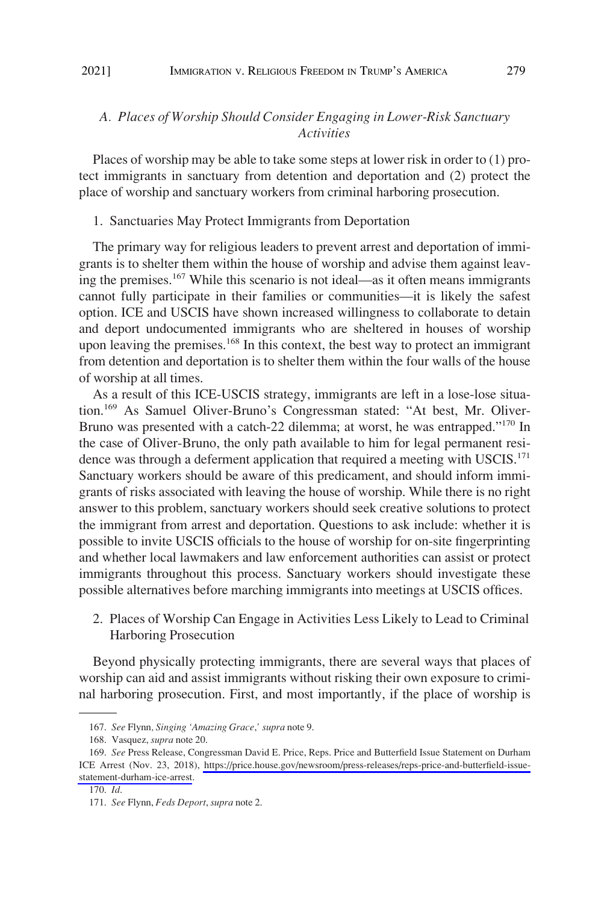## <span id="page-22-0"></span>*A. Places of Worship Should Consider Engaging in Lower-Risk Sanctuary Activities*

Places of worship may be able to take some steps at lower risk in order to (1) protect immigrants in sanctuary from detention and deportation and (2) protect the place of worship and sanctuary workers from criminal harboring prosecution.

### 1. Sanctuaries May Protect Immigrants from Deportation

The primary way for religious leaders to prevent arrest and deportation of immigrants is to shelter them within the house of worship and advise them against leaving the premises.167 While this scenario is not ideal—as it often means immigrants cannot fully participate in their families or communities—it is likely the safest option. ICE and USCIS have shown increased willingness to collaborate to detain and deport undocumented immigrants who are sheltered in houses of worship upon leaving the premises.<sup>168</sup> In this context, the best way to protect an immigrant from detention and deportation is to shelter them within the four walls of the house of worship at all times.

As a result of this ICE-USCIS strategy, immigrants are left in a lose-lose situation.<sup>169</sup> As Samuel Oliver-Bruno's Congressman stated: "At best, Mr. Oliver-Bruno was presented with a catch-22 dilemma; at worst, he was entrapped."<sup>170</sup> In the case of Oliver-Bruno, the only path available to him for legal permanent residence was through a deferment application that required a meeting with USCIS.<sup>171</sup> Sanctuary workers should be aware of this predicament, and should inform immigrants of risks associated with leaving the house of worship. While there is no right answer to this problem, sanctuary workers should seek creative solutions to protect the immigrant from arrest and deportation. Questions to ask include: whether it is possible to invite USCIS officials to the house of worship for on-site fingerprinting and whether local lawmakers and law enforcement authorities can assist or protect immigrants throughout this process. Sanctuary workers should investigate these possible alternatives before marching immigrants into meetings at USCIS offices.

2. Places of Worship Can Engage in Activities Less Likely to Lead to Criminal Harboring Prosecution

Beyond physically protecting immigrants, there are several ways that places of worship can aid and assist immigrants without risking their own exposure to criminal harboring prosecution. First, and most importantly, if the place of worship is

<sup>167.</sup> *See* Flynn*, Singing 'Amazing Grace*,*' supra* note 9.

<sup>168.</sup> Vasquez, *supra* note 20.

<sup>169.</sup> See Press Release, Congressman David E. Price, Reps. Price and Butterfield Issue Statement on Durham ICE Arrest (Nov. 23, 2018), [https://price.house.gov/newsroom/press-releases/reps-price-and-butterfield-issue](https://price.house.gov/newsroom/press-releases/reps-price-and-butterfield-issue-statement-durham-ice-arrest)[statement-durham-ice-arrest](https://price.house.gov/newsroom/press-releases/reps-price-and-butterfield-issue-statement-durham-ice-arrest).

<sup>170.</sup> *Id*.

<sup>171.</sup> *See* Flynn, *Feds Deport*, *supra* note 2.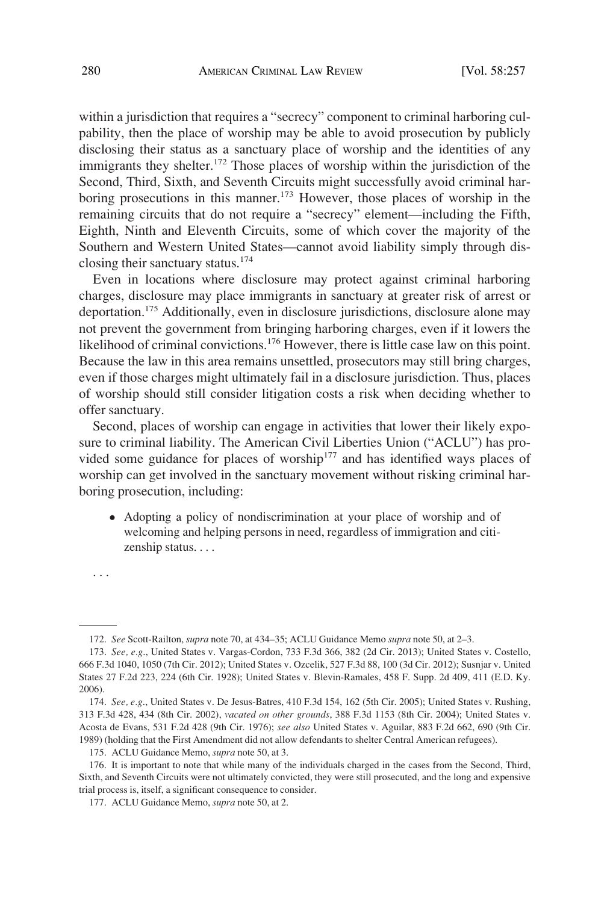within a jurisdiction that requires a "secrecy" component to criminal harboring culpability, then the place of worship may be able to avoid prosecution by publicly disclosing their status as a sanctuary place of worship and the identities of any immigrants they shelter.<sup>172</sup> Those places of worship within the jurisdiction of the Second, Third, Sixth, and Seventh Circuits might successfully avoid criminal harboring prosecutions in this manner.<sup>173</sup> However, those places of worship in the remaining circuits that do not require a "secrecy" element—including the Fifth, Eighth, Ninth and Eleventh Circuits, some of which cover the majority of the Southern and Western United States—cannot avoid liability simply through disclosing their sanctuary status.174

Even in locations where disclosure may protect against criminal harboring charges, disclosure may place immigrants in sanctuary at greater risk of arrest or deportation.175 Additionally, even in disclosure jurisdictions, disclosure alone may not prevent the government from bringing harboring charges, even if it lowers the likelihood of criminal convictions.<sup>176</sup> However, there is little case law on this point. Because the law in this area remains unsettled, prosecutors may still bring charges, even if those charges might ultimately fail in a disclosure jurisdiction. Thus, places of worship should still consider litigation costs a risk when deciding whether to offer sanctuary.

Second, places of worship can engage in activities that lower their likely exposure to criminal liability. The American Civil Liberties Union ("ACLU") has provided some guidance for places of worship<sup>177</sup> and has identified ways places of worship can get involved in the sanctuary movement without risking criminal harboring prosecution, including:

� Adopting a policy of nondiscrimination at your place of worship and of welcoming and helping persons in need, regardless of immigration and citizenship status. . . .

. . .

<sup>172.</sup> *See* Scott-Railton, *supra* note 70, at 434–35; ACLU Guidance Memo *supra* note 50, at 2–3.

<sup>173.</sup> *See, e.g*., United States v. Vargas-Cordon, 733 F.3d 366, 382 (2d Cir. 2013); United States v. Costello, 666 F.3d 1040, 1050 (7th Cir. 2012); United States v. Ozcelik, 527 F.3d 88, 100 (3d Cir. 2012); Susnjar v. United States 27 F.2d 223, 224 (6th Cir. 1928); United States v. Blevin-Ramales, 458 F. Supp. 2d 409, 411 (E.D. Ky. 2006).

<sup>174.</sup> *See, e.g*., United States v. De Jesus-Batres, 410 F.3d 154, 162 (5th Cir. 2005); United States v. Rushing, 313 F.3d 428, 434 (8th Cir. 2002), *vacated on other grounds*, 388 F.3d 1153 (8th Cir. 2004); United States v. Acosta de Evans, 531 F.2d 428 (9th Cir. 1976); *see also* United States v. Aguilar, 883 F.2d 662, 690 (9th Cir. 1989) (holding that the First Amendment did not allow defendants to shelter Central American refugees).

<sup>175.</sup> ACLU Guidance Memo, *supra* note 50, at 3.

<sup>176.</sup> It is important to note that while many of the individuals charged in the cases from the Second, Third, Sixth, and Seventh Circuits were not ultimately convicted, they were still prosecuted, and the long and expensive trial process is, itself, a significant consequence to consider.

<sup>177.</sup> ACLU Guidance Memo, *supra* note 50, at 2.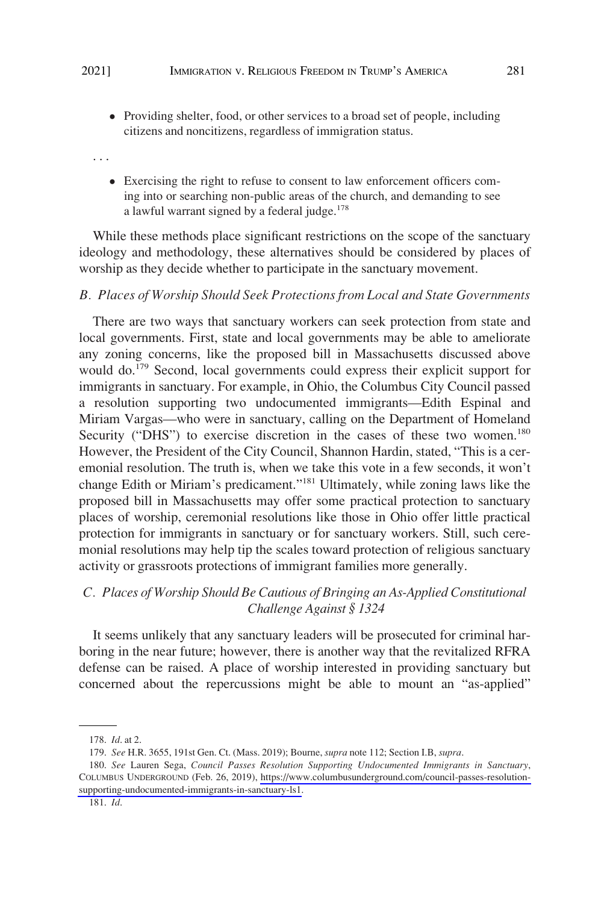<span id="page-24-0"></span>� Providing shelter, food, or other services to a broad set of people, including citizens and noncitizens, regardless of immigration status.

. . .

� Exercising the right to refuse to consent to law enforcement officers coming into or searching non-public areas of the church, and demanding to see a lawful warrant signed by a federal judge.<sup>178</sup>

While these methods place significant restrictions on the scope of the sanctuary ideology and methodology, these alternatives should be considered by places of worship as they decide whether to participate in the sanctuary movement.

#### *B. Places of Worship Should Seek Protections from Local and State Governments*

There are two ways that sanctuary workers can seek protection from state and local governments. First, state and local governments may be able to ameliorate any zoning concerns, like the proposed bill in Massachusetts discussed above would do.<sup>179</sup> Second, local governments could express their explicit support for immigrants in sanctuary. For example, in Ohio, the Columbus City Council passed a resolution supporting two undocumented immigrants—Edith Espinal and Miriam Vargas—who were in sanctuary, calling on the Department of Homeland Security ("DHS") to exercise discretion in the cases of these two women.<sup>180</sup> However, the President of the City Council, Shannon Hardin, stated, "This is a ceremonial resolution. The truth is, when we take this vote in a few seconds, it won't change Edith or Miriam's predicament."181 Ultimately, while zoning laws like the proposed bill in Massachusetts may offer some practical protection to sanctuary places of worship, ceremonial resolutions like those in Ohio offer little practical protection for immigrants in sanctuary or for sanctuary workers. Still, such ceremonial resolutions may help tip the scales toward protection of religious sanctuary activity or grassroots protections of immigrant families more generally.

## *C. Places of Worship Should Be Cautious of Bringing an As-Applied Constitutional Challenge Against § 1324*

It seems unlikely that any sanctuary leaders will be prosecuted for criminal harboring in the near future; however, there is another way that the revitalized RFRA defense can be raised. A place of worship interested in providing sanctuary but concerned about the repercussions might be able to mount an "as-applied"

<sup>178.</sup> *Id*. at 2.

<sup>179.</sup> *See* H.R. 3655, 191st Gen. Ct. (Mass. 2019); Bourne, *supra* note 112; Section I.B, *supra*.

*See* Lauren Sega, *Council Passes Resolution Supporting Undocumented Immigrants in Sanctuary*, 180. COLUMBUS UNDERGROUND (Feb. 26, 2019), [https://www.columbusunderground.com/council-passes-resolution](https://www.columbusunderground.com/council-passes-resolution-supporting-undocumented-immigrants-in-sanctuary-ls1)[supporting-undocumented-immigrants-in-sanctuary-ls1](https://www.columbusunderground.com/council-passes-resolution-supporting-undocumented-immigrants-in-sanctuary-ls1).

<sup>181.</sup> *Id*.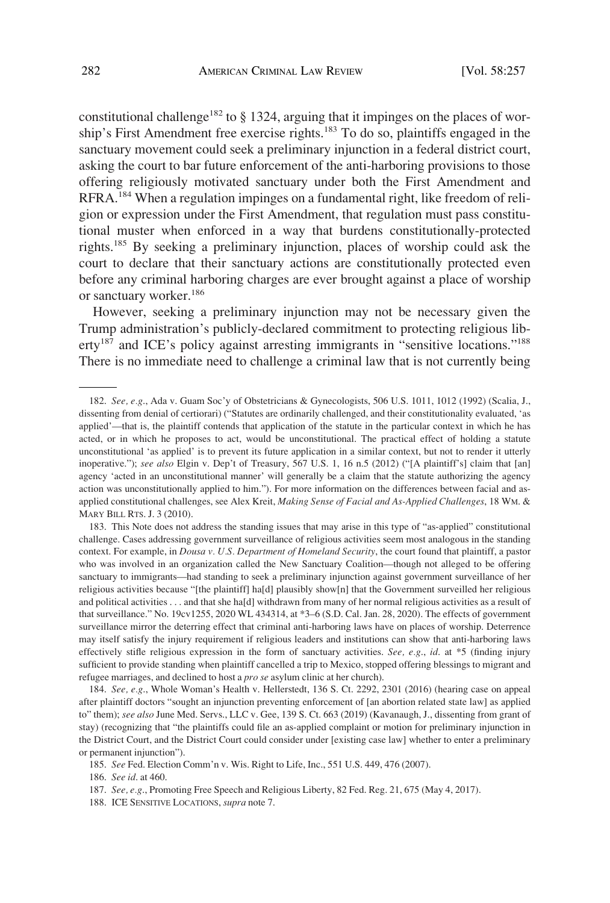constitutional challenge<sup>182</sup> to  $\S$  1324, arguing that it impinges on the places of worship's First Amendment free exercise rights.<sup>183</sup> To do so, plaintiffs engaged in the sanctuary movement could seek a preliminary injunction in a federal district court, asking the court to bar future enforcement of the anti-harboring provisions to those offering religiously motivated sanctuary under both the First Amendment and RFRA.184 When a regulation impinges on a fundamental right, like freedom of religion or expression under the First Amendment, that regulation must pass constitutional muster when enforced in a way that burdens constitutionally-protected rights.185 By seeking a preliminary injunction, places of worship could ask the court to declare that their sanctuary actions are constitutionally protected even before any criminal harboring charges are ever brought against a place of worship or sanctuary worker.186

However, seeking a preliminary injunction may not be necessary given the Trump administration's publicly-declared commitment to protecting religious liberty<sup>187</sup> and ICE's policy against arresting immigrants in "sensitive locations."<sup>188</sup> There is no immediate need to challenge a criminal law that is not currently being

188. ICE SENSITIVE LOCATIONS, *supra* note 7.

<sup>182.</sup> *See, e.g*., Ada v. Guam Soc'y of Obstetricians & Gynecologists, 506 U.S. 1011, 1012 (1992) (Scalia, J., dissenting from denial of certiorari) ("Statutes are ordinarily challenged, and their constitutionality evaluated, 'as applied'—that is, the plaintiff contends that application of the statute in the particular context in which he has acted, or in which he proposes to act, would be unconstitutional. The practical effect of holding a statute unconstitutional 'as applied' is to prevent its future application in a similar context, but not to render it utterly inoperative."); *see also* Elgin v. Dep't of Treasury, 567 U.S. 1, 16 n.5 (2012) ("[A plaintiff's] claim that [an] agency 'acted in an unconstitutional manner' will generally be a claim that the statute authorizing the agency action was unconstitutionally applied to him."). For more information on the differences between facial and asapplied constitutional challenges, see Alex Kreit, *Making Sense of Facial and As-Applied Challenges*, 18 WM. & MARY BILL RTS. J. 3 (2010).

<sup>183.</sup> This Note does not address the standing issues that may arise in this type of "as-applied" constitutional challenge. Cases addressing government surveillance of religious activities seem most analogous in the standing context. For example, in *Dousa v. U.S. Department of Homeland Security*, the court found that plaintiff, a pastor who was involved in an organization called the New Sanctuary Coalition—though not alleged to be offering sanctuary to immigrants—had standing to seek a preliminary injunction against government surveillance of her religious activities because "[the plaintiff] ha[d] plausibly show[n] that the Government surveilled her religious and political activities . . . and that she ha[d] withdrawn from many of her normal religious activities as a result of that surveillance." No. 19cv1255, 2020 WL 434314, at \*3–6 (S.D. Cal. Jan. 28, 2020). The effects of government surveillance mirror the deterring effect that criminal anti-harboring laws have on places of worship. Deterrence may itself satisfy the injury requirement if religious leaders and institutions can show that anti-harboring laws effectively stifle religious expression in the form of sanctuary activities. *See, e.g*., *id*. at \*5 (finding injury sufficient to provide standing when plaintiff cancelled a trip to Mexico, stopped offering blessings to migrant and refugee marriages, and declined to host a *pro se* asylum clinic at her church).

<sup>184.</sup> *See, e.g*., Whole Woman's Health v. Hellerstedt, 136 S. Ct. 2292, 2301 (2016) (hearing case on appeal after plaintiff doctors "sought an injunction preventing enforcement of [an abortion related state law] as applied to" them); *see also* June Med. Servs., LLC v. Gee, 139 S. Ct. 663 (2019) (Kavanaugh, J., dissenting from grant of stay) (recognizing that "the plaintiffs could file an as-applied complaint or motion for preliminary injunction in the District Court, and the District Court could consider under [existing case law] whether to enter a preliminary or permanent injunction").

<sup>185.</sup> *See* Fed. Election Comm'n v. Wis. Right to Life, Inc., 551 U.S. 449, 476 (2007).

<sup>186.</sup> *See id*. at 460.

<sup>187.</sup> *See, e.g*., Promoting Free Speech and Religious Liberty, 82 Fed. Reg. 21, 675 (May 4, 2017).